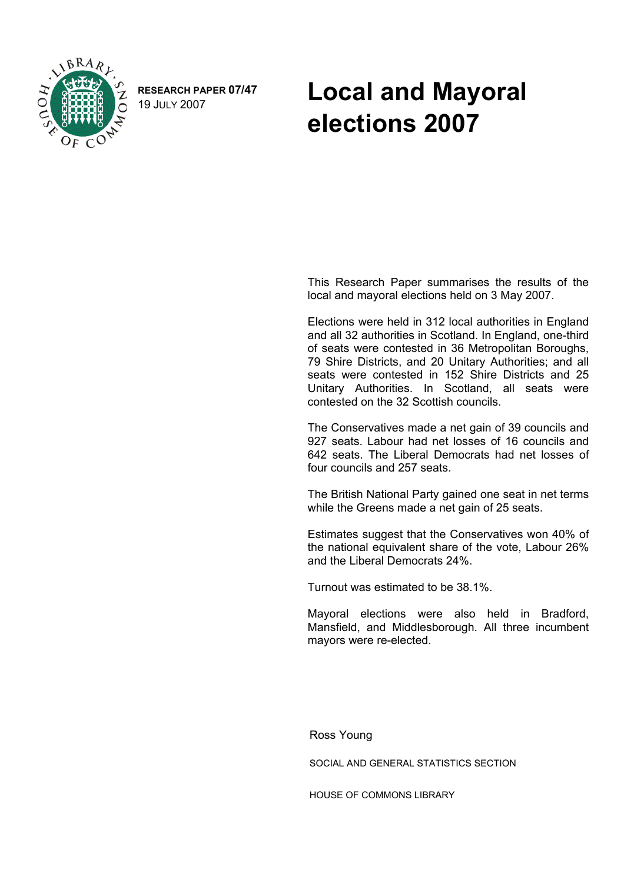

**RESEARCH PAPER 07/47** 

## RESEARCH PAPER 07/47 **Local and Mayoral elections 2007**

 This Research Paper summarises the results of the local and mayoral elections held on 3 May 2007.

Elections were held in 312 local authorities in England and all 32 authorities in Scotland. In England, one-third of seats were contested in 36 Metropolitan Boroughs, 79 Shire Districts, and 20 Unitary Authorities; and all seats were contested in 152 Shire Districts and 25 Unitary Authorities. In Scotland, all seats were contested on the 32 Scottish councils.

The Conservatives made a net gain of 39 councils and 927 seats. Labour had net losses of 16 councils and 642 seats. The Liberal Democrats had net losses of four councils and 257 seats.

The British National Party gained one seat in net terms while the Greens made a net gain of 25 seats.

Estimates suggest that the Conservatives won 40% of the national equivalent share of the vote, Labour 26% and the Liberal Democrats 24%.

Turnout was estimated to be 38.1%.

Mayoral elections were also held in Bradford, Mansfield, and Middlesborough. All three incumbent mayors were re-elected.

Ross Young

SOCIAL AND GENERAL STATISTICS SECTION

HOUSE OF COMMONS LIBRARY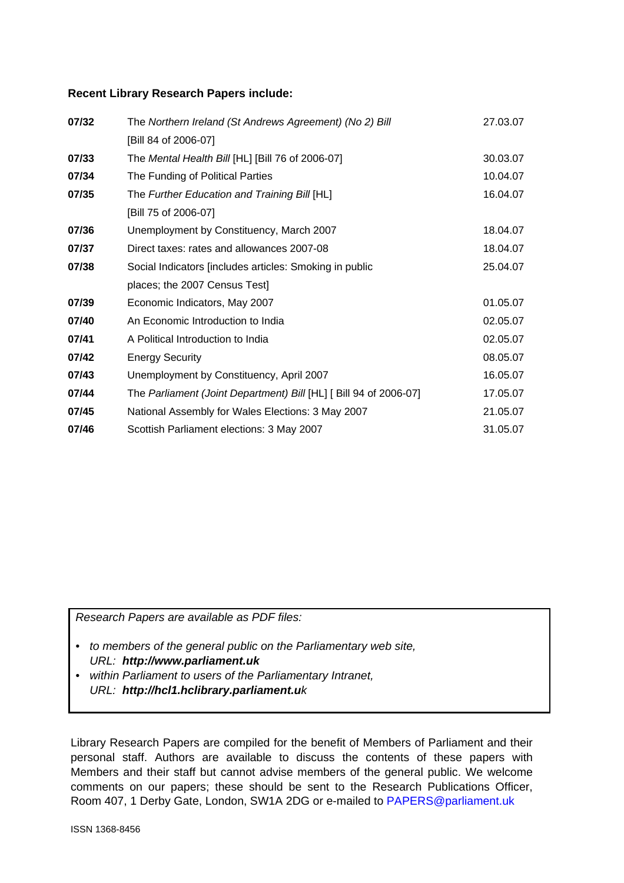#### **Recent Library Research Papers include:**

| 07/32 | The Northern Ireland (St Andrews Agreement) (No 2) Bill           | 27.03.07 |
|-------|-------------------------------------------------------------------|----------|
|       | [Bill 84 of 2006-07]                                              |          |
| 07/33 | The Mental Health Bill [HL] [Bill 76 of 2006-07]                  | 30.03.07 |
| 07/34 | The Funding of Political Parties                                  | 10.04.07 |
| 07/35 | The Further Education and Training Bill [HL]                      | 16.04.07 |
|       | [Bill 75 of 2006-07]                                              |          |
| 07/36 | Unemployment by Constituency, March 2007                          | 18.04.07 |
| 07/37 | Direct taxes: rates and allowances 2007-08                        | 18.04.07 |
| 07/38 | Social Indicators [includes articles: Smoking in public           | 25.04.07 |
|       | places; the 2007 Census Test]                                     |          |
| 07/39 | Economic Indicators, May 2007                                     | 01.05.07 |
| 07/40 | An Economic Introduction to India                                 | 02.05.07 |
| 07/41 | A Political Introduction to India                                 | 02.05.07 |
| 07/42 | <b>Energy Security</b>                                            | 08.05.07 |
| 07/43 | Unemployment by Constituency, April 2007                          | 16.05.07 |
| 07/44 | The Parliament (Joint Department) Bill [HL] [ Bill 94 of 2006-07] | 17.05.07 |
| 07/45 | National Assembly for Wales Elections: 3 May 2007                 | 21.05.07 |
| 07/46 | Scottish Parliament elections: 3 May 2007                         | 31.05.07 |

*Research Papers are available as PDF files:* 

- *to members of the general public on the Parliamentary web site, URL: http://www.parliament.uk*
- *within Parliament to users of the Parliamentary Intranet, URL: http://hcl1.hclibrary.parliament.uk*

Library Research Papers are compiled for the benefit of Members of Parliament and their personal staff. Authors are available to discuss the contents of these papers with Members and their staff but cannot advise members of the general public. We welcome comments on our papers; these should be sent to the Research Publications Officer, Room 407, 1 Derby Gate, London, SW1A 2DG or e-mailed to [PAPERS@parliament.uk](mailto:PAPERS@parliament.uk)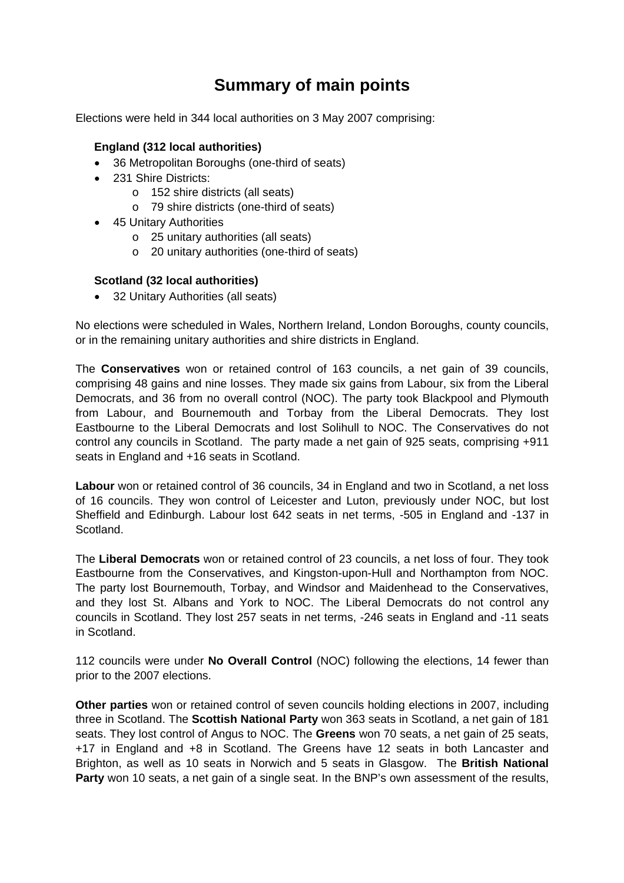## **Summary of main points**

Elections were held in 344 local authorities on 3 May 2007 comprising:

### **England (312 local authorities)**

- 36 Metropolitan Boroughs (one-third of seats)
- 231 Shire Districts:
	- o 152 shire districts (all seats)
	- o 79 shire districts (one-third of seats)
- 45 Unitary Authorities
	- o 25 unitary authorities (all seats)
	- o 20 unitary authorities (one-third of seats)

#### **Scotland (32 local authorities)**

• 32 Unitary Authorities (all seats)

No elections were scheduled in Wales, Northern Ireland, London Boroughs, county councils, or in the remaining unitary authorities and shire districts in England.

The **Conservatives** won or retained control of 163 councils, a net gain of 39 councils, comprising 48 gains and nine losses. They made six gains from Labour, six from the Liberal Democrats, and 36 from no overall control (NOC). The party took Blackpool and Plymouth from Labour, and Bournemouth and Torbay from the Liberal Democrats. They lost Eastbourne to the Liberal Democrats and lost Solihull to NOC. The Conservatives do not control any councils in Scotland. The party made a net gain of 925 seats, comprising +911 seats in England and +16 seats in Scotland.

**Labour** won or retained control of 36 councils, 34 in England and two in Scotland, a net loss of 16 councils. They won control of Leicester and Luton, previously under NOC, but lost Sheffield and Edinburgh. Labour lost 642 seats in net terms, -505 in England and -137 in Scotland.

The **Liberal Democrats** won or retained control of 23 councils, a net loss of four. They took Eastbourne from the Conservatives, and Kingston-upon-Hull and Northampton from NOC. The party lost Bournemouth, Torbay, and Windsor and Maidenhead to the Conservatives, and they lost St. Albans and York to NOC. The Liberal Democrats do not control any councils in Scotland. They lost 257 seats in net terms, -246 seats in England and -11 seats in Scotland.

112 councils were under **No Overall Control** (NOC) following the elections, 14 fewer than prior to the 2007 elections.

**Other parties** won or retained control of seven councils holding elections in 2007, including three in Scotland. The **Scottish National Party** won 363 seats in Scotland, a net gain of 181 seats. They lost control of Angus to NOC. The **Greens** won 70 seats, a net gain of 25 seats, +17 in England and +8 in Scotland. The Greens have 12 seats in both Lancaster and Brighton, as well as 10 seats in Norwich and 5 seats in Glasgow. The **British National Party** won 10 seats, a net gain of a single seat. In the BNP's own assessment of the results,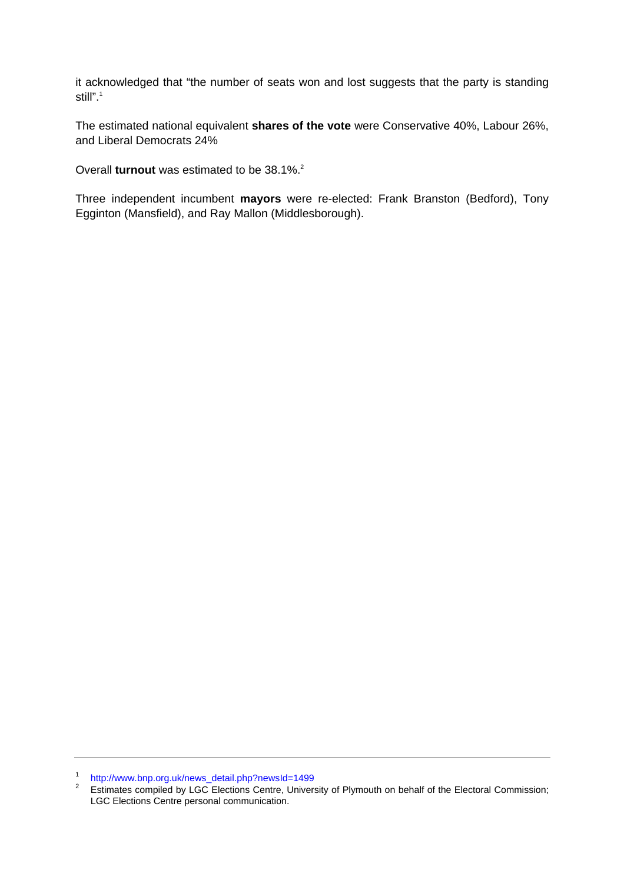it acknowledged that "the number of seats won and lost suggests that the party is standing still".<sup>[1](#page-3-0)</sup>

The estimated national equivalent **shares of the vote** were Conservative 40%, Labour 26%, and Liberal Democrats 24%

Overall **turnout** was estimated to be 38.1%.<sup>[2](#page-3-1)</sup>

Three independent incumbent **mayors** were re-elected: Frank Branston (Bedford), Tony Egginton (Mansfield), and Ray Mallon (Middlesborough).

<span id="page-3-0"></span><sup>1</sup> [http://www.bnp.org.uk/news\\_detail.php?newsId=1499](http://www.bnp.org.uk/news_detail.php?newsId=1499)

<span id="page-3-1"></span><sup>&</sup>lt;sup>2</sup> Estimates compiled by LGC Elections Centre, University of Plymouth on behalf of the Electoral Commission; LGC Elections Centre personal communication.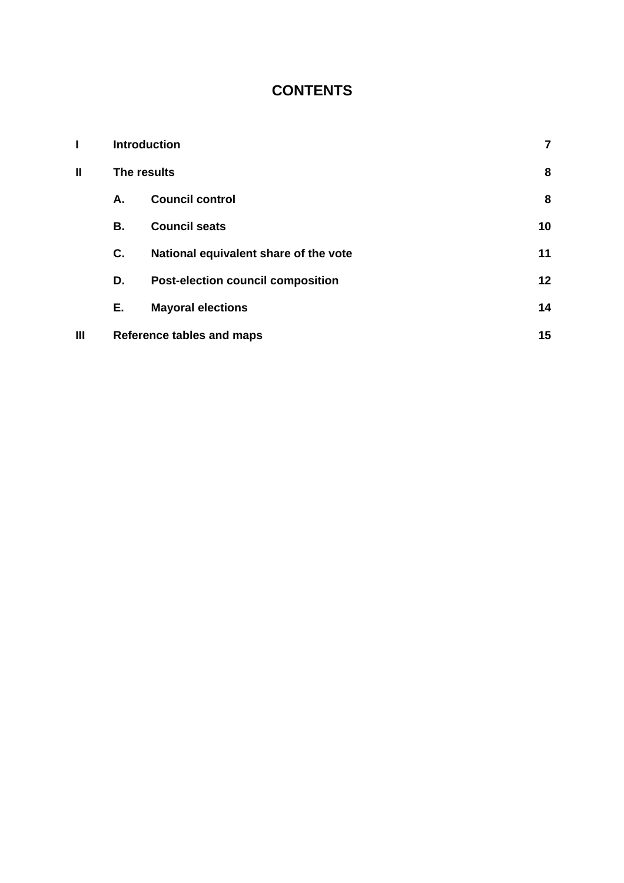## **CONTENTS**

|                |    | <b>Introduction</b>                      | 7  |
|----------------|----|------------------------------------------|----|
| Ш              |    | The results                              | 8  |
|                | А. | <b>Council control</b>                   | 8  |
|                | В. | <b>Council seats</b>                     | 10 |
|                | C. | National equivalent share of the vote    | 11 |
|                | D. | <b>Post-election council composition</b> | 12 |
|                | Е. | <b>Mayoral elections</b>                 | 14 |
| $\mathbf{III}$ |    | <b>Reference tables and maps</b>         | 15 |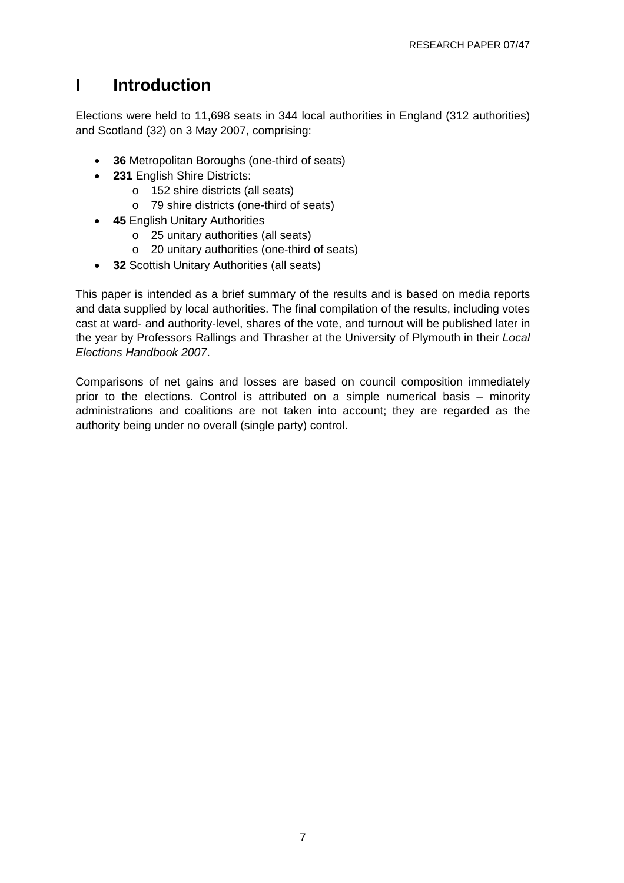## <span id="page-6-0"></span>**I Introduction**

Elections were held to 11,698 seats in 344 local authorities in England (312 authorities) and Scotland (32) on 3 May 2007, comprising:

- **36** Metropolitan Boroughs (one-third of seats)
- **231** English Shire Districts:
	- o 152 shire districts (all seats)
	- o 79 shire districts (one-third of seats)
- **45** English Unitary Authorities
	- o 25 unitary authorities (all seats)
	- o 20 unitary authorities (one-third of seats)
- **32** Scottish Unitary Authorities (all seats)

This paper is intended as a brief summary of the results and is based on media reports and data supplied by local authorities. The final compilation of the results, including votes cast at ward- and authority-level, shares of the vote, and turnout will be published later in the year by Professors Rallings and Thrasher at the University of Plymouth in their *Local Elections Handbook 2007*.

Comparisons of net gains and losses are based on council composition immediately prior to the elections. Control is attributed on a simple numerical basis – minority administrations and coalitions are not taken into account; they are regarded as the authority being under no overall (single party) control.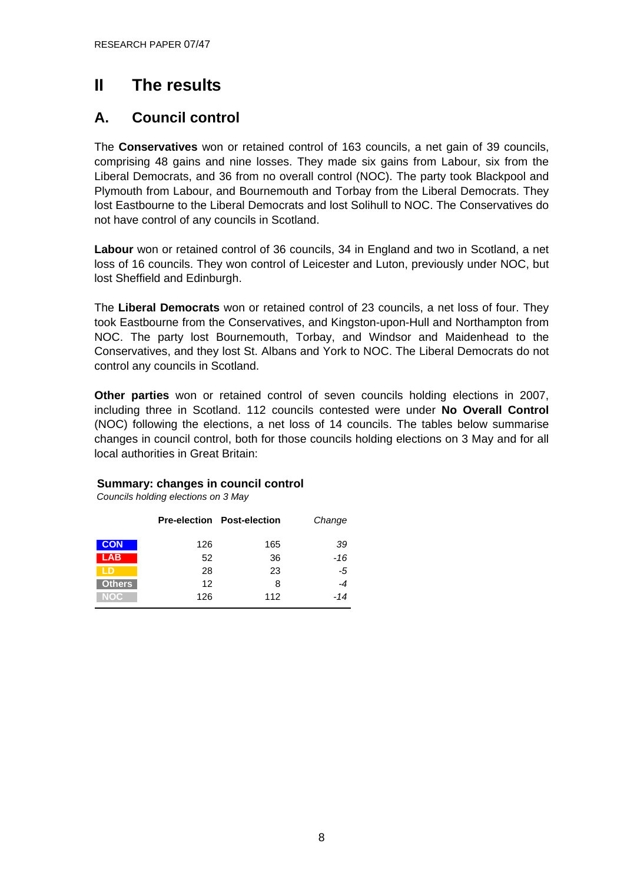## <span id="page-7-0"></span>**II The results**

## **A. Council control**

The **Conservatives** won or retained control of 163 councils, a net gain of 39 councils, comprising 48 gains and nine losses. They made six gains from Labour, six from the Liberal Democrats, and 36 from no overall control (NOC). The party took Blackpool and Plymouth from Labour, and Bournemouth and Torbay from the Liberal Democrats. They lost Eastbourne to the Liberal Democrats and lost Solihull to NOC. The Conservatives do not have control of any councils in Scotland.

**Labour** won or retained control of 36 councils, 34 in England and two in Scotland, a net loss of 16 councils. They won control of Leicester and Luton, previously under NOC, but lost Sheffield and Edinburgh.

The **Liberal Democrats** won or retained control of 23 councils, a net loss of four. They took Eastbourne from the Conservatives, and Kingston-upon-Hull and Northampton from NOC. The party lost Bournemouth, Torbay, and Windsor and Maidenhead to the Conservatives, and they lost St. Albans and York to NOC. The Liberal Democrats do not control any councils in Scotland.

**Other parties** won or retained control of seven councils holding elections in 2007, including three in Scotland. 112 councils contested were under **No Overall Control**  (NOC) following the elections, a net loss of 14 councils. The tables below summarise changes in council control, both for those councils holding elections on 3 May and for all local authorities in Great Britain:

### **Summary: changes in council control**

*Councils holding elections on 3 May*

|               |     | <b>Pre-election Post-election</b> | Change |
|---------------|-----|-----------------------------------|--------|
| <b>CON</b>    | 126 | 165                               | 39     |
| <b>LAB</b>    | 52  | 36                                | $-16$  |
|               | 28  | 23                                | -5     |
| <b>Others</b> | 12  | 8                                 | $-4$   |
| NOC           | 126 | 112                               | $-14$  |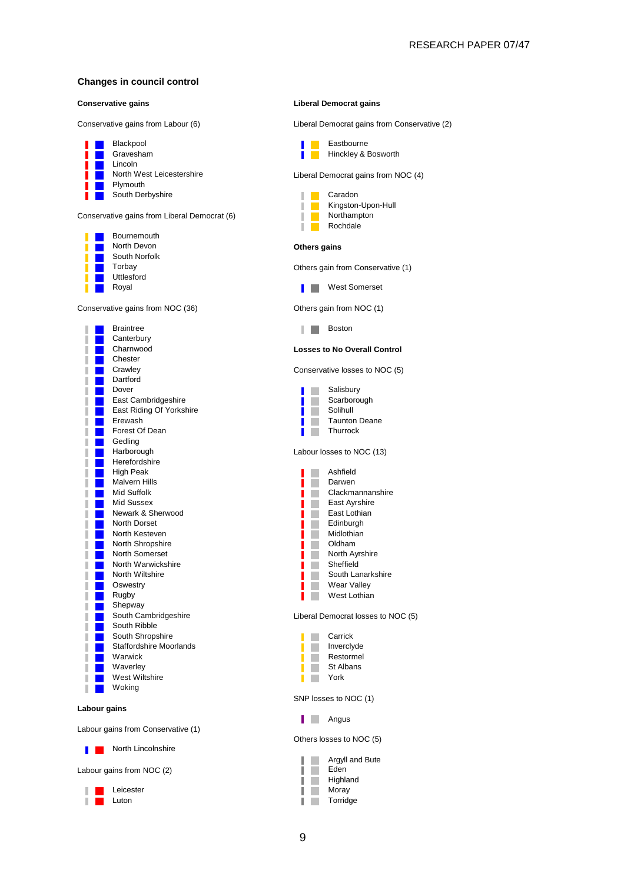#### **Changes in council control**



Conservative gains from Labour (6) Liberal Democrat gains from Conservative (2)

Liberal Democrat gains from NOC (4)





**Losses to No Overall Control** 



Liberal Democrat losses to NOC (5)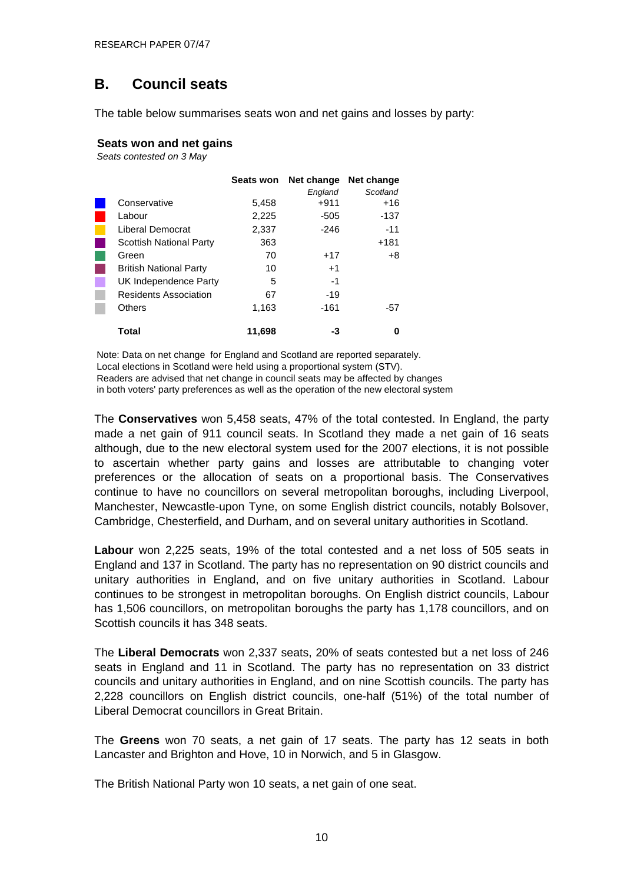## <span id="page-9-0"></span>**B. Council seats**

The table below summarises seats won and net gains and losses by party:

#### **Seats won and net gains**

*Seats contested on 3 May*

|                                | <b>Seats won</b> | Net change | Net change |
|--------------------------------|------------------|------------|------------|
|                                |                  | England    | Scotland   |
| Conservative                   | 5,458            | $+911$     | +16        |
| Labour                         | 2,225            | $-505$     | -137       |
| Liberal Democrat               | 2,337            | $-246$     | $-11$      |
| <b>Scottish National Party</b> | 363              |            | $+181$     |
| Green                          | 70               | $+17$      | +8         |
| <b>British National Party</b>  | 10               | $+1$       |            |
| UK Independence Party          | 5                | -1         |            |
| <b>Residents Association</b>   | 67               | $-19$      |            |
| <b>Others</b>                  | 1,163            | $-161$     | -57        |
| Total                          | 11,698           | -3         | 0          |

Note: Data on net change for England and Scotland are reported separately. Local elections in Scotland were held using a proportional system (STV). Readers are advised that net change in council seats may be affected by changes in both voters' party preferences as well as the operation of the new electoral system

The **Conservatives** won 5,458 seats, 47% of the total contested. In England, the party made a net gain of 911 council seats. In Scotland they made a net gain of 16 seats although, due to the new electoral system used for the 2007 elections, it is not possible to ascertain whether party gains and losses are attributable to changing voter preferences or the allocation of seats on a proportional basis. The Conservatives continue to have no councillors on several metropolitan boroughs, including Liverpool, Manchester, Newcastle-upon Tyne, on some English district councils, notably Bolsover, Cambridge, Chesterfield, and Durham, and on several unitary authorities in Scotland.

**Labour** won 2,225 seats, 19% of the total contested and a net loss of 505 seats in England and 137 in Scotland. The party has no representation on 90 district councils and unitary authorities in England, and on five unitary authorities in Scotland. Labour continues to be strongest in metropolitan boroughs. On English district councils, Labour has 1,506 councillors, on metropolitan boroughs the party has 1,178 councillors, and on Scottish councils it has 348 seats.

The **Liberal Democrats** won 2,337 seats, 20% of seats contested but a net loss of 246 seats in England and 11 in Scotland. The party has no representation on 33 district councils and unitary authorities in England, and on nine Scottish councils. The party has 2,228 councillors on English district councils, one-half (51%) of the total number of Liberal Democrat councillors in Great Britain.

The **Greens** won 70 seats, a net gain of 17 seats. The party has 12 seats in both Lancaster and Brighton and Hove, 10 in Norwich, and 5 in Glasgow.

The British National Party won 10 seats, a net gain of one seat.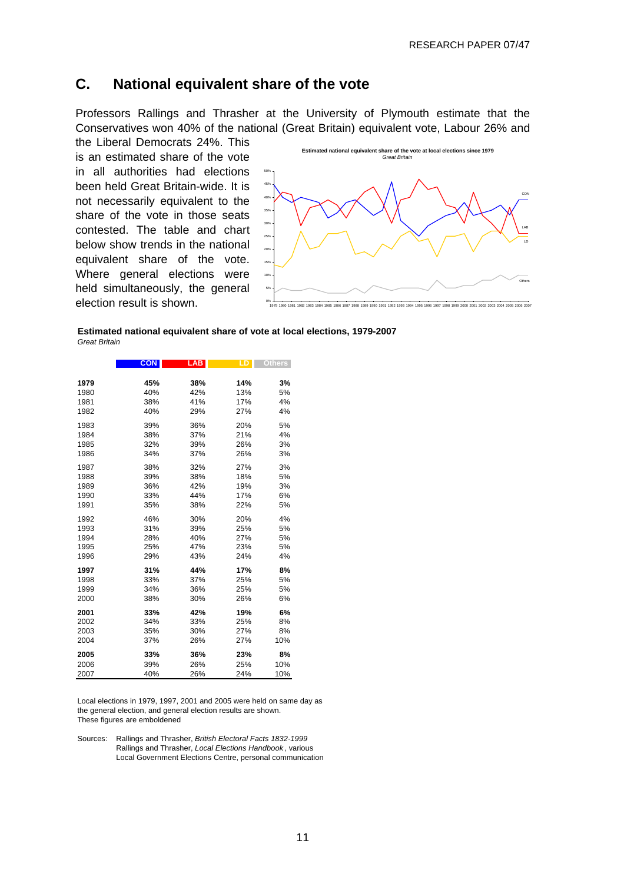### <span id="page-10-0"></span>**C. National equivalent share of the vote**

Professors Rallings and Thrasher at the University of Plymouth estimate that the Conservatives won 40% of the national (Great Britain) equivalent vote, Labour 26% and the Liberal Democrats 24%. This

is an estimated share of the vote in all authorities had elections been held Great Britain-wide. It is not necessarily equivalent to the share of the vote in those seats contested. The table and chart below show trends in the national equivalent share of the vote. Where general elections were held simultaneously, the general election result is shown.



| Estimated national equivalent share of vote at local elections, 1979-2007 |  |
|---------------------------------------------------------------------------|--|
| Great Britain                                                             |  |

|      | <b>CON</b> | <b>LAB</b> | LD. | <b>Others</b> |
|------|------------|------------|-----|---------------|
|      |            |            |     |               |
| 1979 | 45%        | 38%        | 14% | 3%            |
| 1980 | 40%        | 42%        | 13% | 5%            |
| 1981 | 38%        | 41%        | 17% | 4%            |
| 1982 | 40%        | 29%        | 27% | 4%            |
| 1983 | 39%        | 36%        | 20% | 5%            |
| 1984 | 38%        | 37%        | 21% | 4%            |
| 1985 | 32%        | 39%        | 26% | 3%            |
| 1986 | 34%        | 37%        | 26% | 3%            |
| 1987 | 38%        | 32%        | 27% | 3%            |
| 1988 | 39%        | 38%        | 18% | 5%            |
| 1989 | 36%        | 42%        | 19% | 3%            |
| 1990 | 33%        | 44%        | 17% | 6%            |
| 1991 | 35%        | 38%        | 22% | 5%            |
| 1992 | 46%        | 30%        | 20% | 4%            |
| 1993 | 31%        | 39%        | 25% | 5%            |
| 1994 | 28%        | 40%        | 27% | 5%            |
| 1995 | 25%        | 47%        | 23% | 5%            |
| 1996 | 29%        | 43%        | 24% | 4%            |
| 1997 | 31%        | 44%        | 17% | 8%            |
| 1998 | 33%        | 37%        | 25% | 5%            |
| 1999 | 34%        | 36%        | 25% | 5%            |
| 2000 | 38%        | 30%        | 26% | 6%            |
| 2001 | 33%        | 42%        | 19% | 6%            |
| 2002 | 34%        | 33%        | 25% | 8%            |
| 2003 | 35%        | 30%        | 27% | 8%            |
| 2004 | 37%        | 26%        | 27% | 10%           |
| 2005 | 33%        | 36%        | 23% | 8%            |
| 2006 | 39%        | 26%        | 25% | 10%           |
| 2007 | 40%        | 26%        | 24% | 10%           |

Local elections in 1979, 1997, 2001 and 2005 were held on same day as the general election, and general election results are shown. These figures are emboldened

Sources: Rallings and Thrasher, *British Electoral Facts 1832-1999* Rallings and Thrasher, *Local Elections Handbook* , various Local Government Elections Centre, personal communication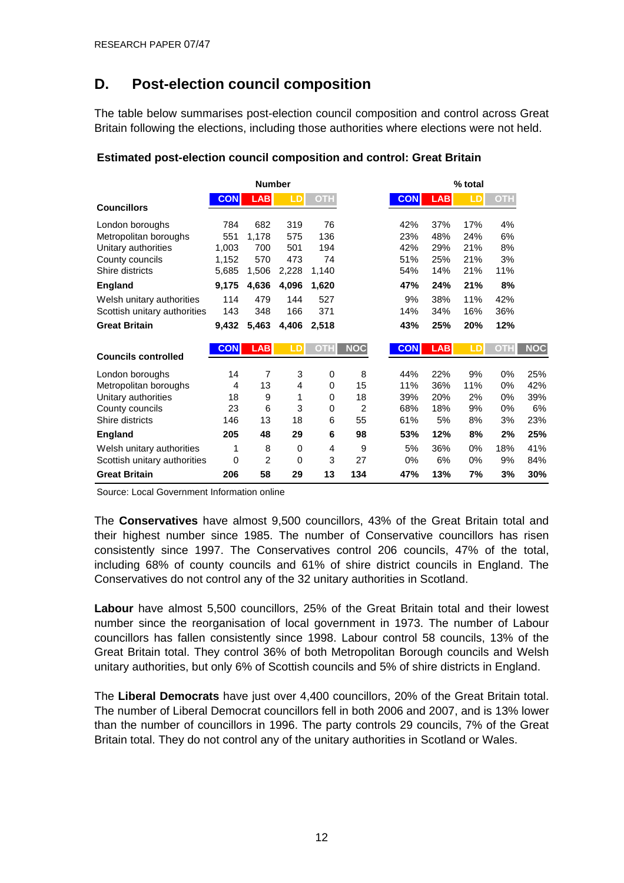## <span id="page-11-0"></span>**D. Post-election council composition**

The table below summarises post-election council composition and control across Great Britain following the elections, including those authorities where elections were not held.

|                              |            | <b>Number</b> |          |            |                |            |            | % total |            |            |
|------------------------------|------------|---------------|----------|------------|----------------|------------|------------|---------|------------|------------|
| <b>Councillors</b>           | <b>CON</b> | <b>LAB</b>    | LD       | <b>OTH</b> |                | <b>CON</b> | <b>LAB</b> | LD      | <b>OTH</b> |            |
| London boroughs              | 784        | 682           | 319      | 76         |                | 42%        | 37%        | 17%     | 4%         |            |
| Metropolitan boroughs        | 551        | 1,178         | 575      | 136        |                | 23%        | 48%        | 24%     | 6%         |            |
| Unitary authorities          | 1,003      | 700           | 501      | 194        |                | 42%        | 29%        | 21%     | 8%         |            |
| County councils              | 1,152      | 570           | 473      | 74         |                | 51%        | 25%        | 21%     | 3%         |            |
| Shire districts              | 5,685      | 1,506         | 2,228    | 1,140      |                | 54%        | 14%        | 21%     | 11%        |            |
| <b>England</b>               | 9,175      | 4,636         | 4,096    | 1,620      |                | 47%        | 24%        | 21%     | 8%         |            |
| Welsh unitary authorities    | 114        | 479           | 144      | 527        |                | 9%         | 38%        | 11%     | 42%        |            |
| Scottish unitary authorities | 143        | 348           | 166      | 371        |                | 14%        | 34%        | 16%     | 36%        |            |
| <b>Great Britain</b>         | 9,432      | 5,463         | 4,406    | 2,518      |                | 43%        | 25%        | 20%     | 12%        |            |
|                              |            |               |          |            |                |            |            |         |            |            |
|                              | <b>CON</b> | <b>LAB</b>    | LD       | <b>OTH</b> | <b>NOC</b>     | <b>CON</b> | <b>LAB</b> | LD      | OTH        | <b>NOC</b> |
| <b>Councils controlled</b>   |            |               |          |            |                |            |            |         |            |            |
| London boroughs              | 14         | 7             | 3        | 0          | 8              | 44%        | 22%        | 9%      | 0%         | 25%        |
| Metropolitan boroughs        | 4          | 13            | 4        | 0          | 15             | 11%        | 36%        | 11%     | 0%         | 42%        |
| Unitary authorities          | 18         | 9             | 1        | 0          | 18             | 39%        | 20%        | 2%      | 0%         | 39%        |
| County councils              | 23         | 6             | 3        | 0          | $\overline{2}$ | 68%        | 18%        | 9%      | 0%         | 6%         |
| Shire districts              | 146        | 13            | 18       | 6          | 55             | 61%        | 5%         | 8%      | 3%         | 23%        |
| <b>England</b>               | 205        | 48            | 29       | 6          | 98             | 53%        | 12%        | 8%      | 2%         | 25%        |
| Welsh unitary authorities    | 1          | 8             | 0        | 4          | 9              | 5%         | 36%        | 0%      | 18%        | 41%        |
| Scottish unitary authorities | 0          | 2             | $\Omega$ | 3          | 27             | 0%         | 6%         | 0%      | 9%         | 84%        |

#### **Estimated post-election council composition and control: Great Britain**

Source: Local Government Information online

The **Conservatives** have almost 9,500 councillors, 43% of the Great Britain total and their highest number since 1985. The number of Conservative councillors has risen consistently since 1997. The Conservatives control 206 councils, 47% of the total, including 68% of county councils and 61% of shire district councils in England. The Conservatives do not control any of the 32 unitary authorities in Scotland.

**Labour** have almost 5,500 councillors, 25% of the Great Britain total and their lowest number since the reorganisation of local government in 1973. The number of Labour councillors has fallen consistently since 1998. Labour control 58 councils, 13% of the Great Britain total. They control 36% of both Metropolitan Borough councils and Welsh unitary authorities, but only 6% of Scottish councils and 5% of shire districts in England.

The **Liberal Democrats** have just over 4,400 councillors, 20% of the Great Britain total. The number of Liberal Democrat councillors fell in both 2006 and 2007, and is 13% lower than the number of councillors in 1996. The party controls 29 councils, 7% of the Great Britain total. They do not control any of the unitary authorities in Scotland or Wales.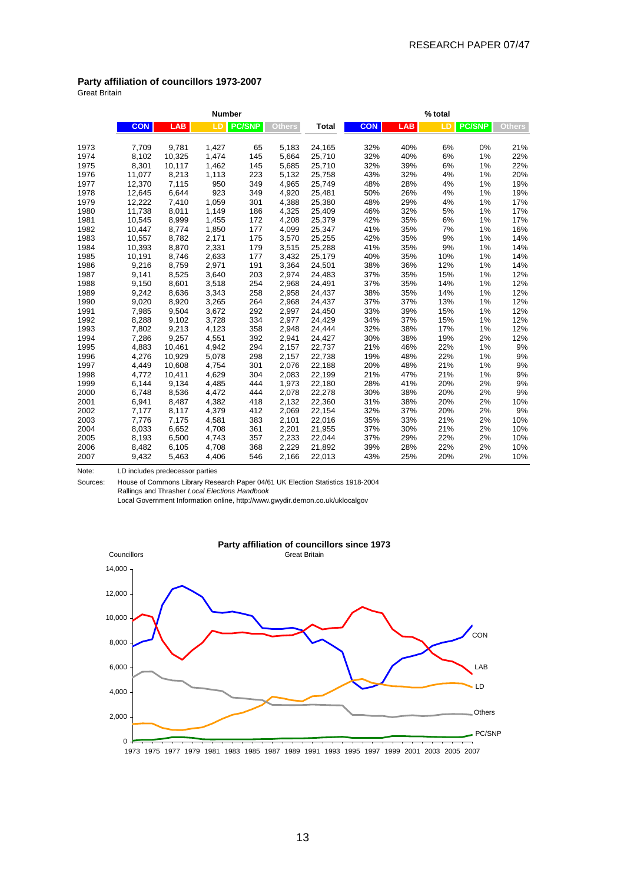#### **Party affiliation of councillors 1973-2007**

Great Britain

|      |            |        | <b>Number</b> |               |               |              |            |            | % total |               |               |
|------|------------|--------|---------------|---------------|---------------|--------------|------------|------------|---------|---------------|---------------|
|      | <b>CON</b> | LAB    | LD            | <b>PC/SNP</b> | <b>Others</b> | <b>Total</b> | <b>CON</b> | <b>LAB</b> | LD      | <b>PC/SNP</b> | <b>Others</b> |
| 1973 | 7,709      | 9,781  | 1,427         | 65            | 5,183         | 24,165       | 32%        | 40%        | 6%      | 0%            | 21%           |
| 1974 | 8,102      | 10,325 | 1,474         | 145           | 5,664         | 25,710       | 32%        | 40%        | 6%      | 1%            | 22%           |
| 1975 | 8,301      | 10,117 | 1,462         | 145           | 5,685         | 25,710       | 32%        | 39%        | 6%      | 1%            | 22%           |
| 1976 | 11,077     | 8,213  | 1,113         | 223           | 5,132         | 25,758       | 43%        | 32%        | 4%      | 1%            | 20%           |
| 1977 | 12,370     | 7,115  | 950           | 349           | 4,965         | 25,749       | 48%        | 28%        | 4%      | 1%            | 19%           |
| 1978 | 12,645     | 6,644  | 923           | 349           | 4,920         | 25,481       | 50%        | 26%        | 4%      | 1%            | 19%           |
| 1979 | 12,222     | 7,410  | 1,059         | 301           | 4,388         | 25,380       | 48%        | 29%        | 4%      | 1%            | 17%           |
| 1980 | 11,738     | 8,011  | 1,149         | 186           | 4,325         | 25,409       | 46%        | 32%        | 5%      | 1%            | 17%           |
| 1981 | 10,545     | 8,999  | 1,455         | 172           | 4,208         | 25,379       | 42%        | 35%        | 6%      | 1%            | 17%           |
| 1982 | 10,447     | 8,774  | 1,850         | 177           | 4,099         | 25,347       | 41%        | 35%        | 7%      | 1%            | 16%           |
| 1983 | 10,557     | 8,782  | 2,171         | 175           | 3,570         | 25,255       | 42%        | 35%        | 9%      | 1%            | 14%           |
| 1984 | 10,393     | 8,870  | 2,331         | 179           | 3,515         | 25,288       | 41%        | 35%        | 9%      | 1%            | 14%           |
| 1985 | 10,191     | 8,746  | 2,633         | 177           | 3,432         | 25,179       | 40%        | 35%        | 10%     | 1%            | 14%           |
| 1986 | 9,216      | 8,759  | 2,971         | 191           | 3,364         | 24,501       | 38%        | 36%        | 12%     | 1%            | 14%           |
| 1987 | 9,141      | 8,525  | 3,640         | 203           | 2,974         | 24,483       | 37%        | 35%        | 15%     | 1%            | 12%           |
| 1988 | 9,150      | 8,601  | 3,518         | 254           | 2,968         | 24,491       | 37%        | 35%        | 14%     | 1%            | 12%           |
| 1989 | 9,242      | 8,636  | 3,343         | 258           | 2,958         | 24,437       | 38%        | 35%        | 14%     | 1%            | 12%           |
| 1990 | 9,020      | 8,920  | 3,265         | 264           | 2,968         | 24,437       | 37%        | 37%        | 13%     | 1%            | 12%           |
| 1991 | 7,985      | 9,504  | 3,672         | 292           | 2,997         | 24,450       | 33%        | 39%        | 15%     | 1%            | 12%           |
| 1992 | 8,288      | 9,102  | 3,728         | 334           | 2,977         | 24,429       | 34%        | 37%        | 15%     | 1%            | 12%           |
| 1993 | 7,802      | 9,213  | 4,123         | 358           | 2,948         | 24,444       | 32%        | 38%        | 17%     | 1%            | 12%           |
| 1994 | 7,286      | 9,257  | 4,551         | 392           | 2,941         | 24,427       | 30%        | 38%        | 19%     | 2%            | 12%           |
| 1995 | 4,883      | 10,461 | 4,942         | 294           | 2,157         | 22,737       | 21%        | 46%        | 22%     | 1%            | 9%            |
| 1996 | 4,276      | 10,929 | 5,078         | 298           | 2,157         | 22,738       | 19%        | 48%        | 22%     | 1%            | 9%            |
| 1997 | 4,449      | 10,608 | 4,754         | 301           | 2,076         | 22,188       | 20%        | 48%        | 21%     | 1%            | 9%            |
| 1998 | 4,772      | 10,411 | 4,629         | 304           | 2,083         | 22,199       | 21%        | 47%        | 21%     | 1%            | 9%            |
| 1999 | 6,144      | 9,134  | 4,485         | 444           | 1,973         | 22,180       | 28%        | 41%        | 20%     | 2%            | 9%            |
| 2000 | 6,748      | 8,536  | 4,472         | 444           | 2,078         | 22,278       | 30%        | 38%        | 20%     | 2%            | 9%            |
| 2001 | 6,941      | 8,487  | 4,382         | 418           | 2,132         | 22,360       | 31%        | 38%        | 20%     | 2%            | 10%           |
| 2002 | 7,177      | 8,117  | 4,379         | 412           | 2,069         | 22,154       | 32%        | 37%        | 20%     | 2%            | 9%            |
| 2003 | 7,776      | 7,175  | 4,581         | 383           | 2,101         | 22,016       | 35%        | 33%        | 21%     | 2%            | 10%           |
| 2004 | 8,033      | 6,652  | 4,708         | 361           | 2,201         | 21,955       | 37%        | 30%        | 21%     | 2%            | 10%           |
| 2005 | 8,193      | 6,500  | 4,743         | 357           | 2,233         | 22,044       | 37%        | 29%        | 22%     | 2%            | 10%           |
| 2006 | 8,482      | 6,105  | 4,708         | 368           | 2,229         | 21,892       | 39%        | 28%        | 22%     | 2%            | 10%           |
| 2007 | 9,432      | 5,463  | 4,406         | 546           | 2,166         | 22,013       | 43%        | 25%        | 20%     | 2%            | 10%           |

Note: LD includes predecessor parties

Sources: House of Commons Library Research Paper 04/61 UK Election Statistics 1918-2004 Rallings and Thrasher *Local Elections Handbook* Local Government Information online, http://www.gwydir.demon.co.uk/uklocalgov



#### **Party affiliation of councillors since 1973**

1975 1977 1979 1981 1983 1985 1987 1989 1991 1993 1995 1997 1999 2001 2003 2005 2007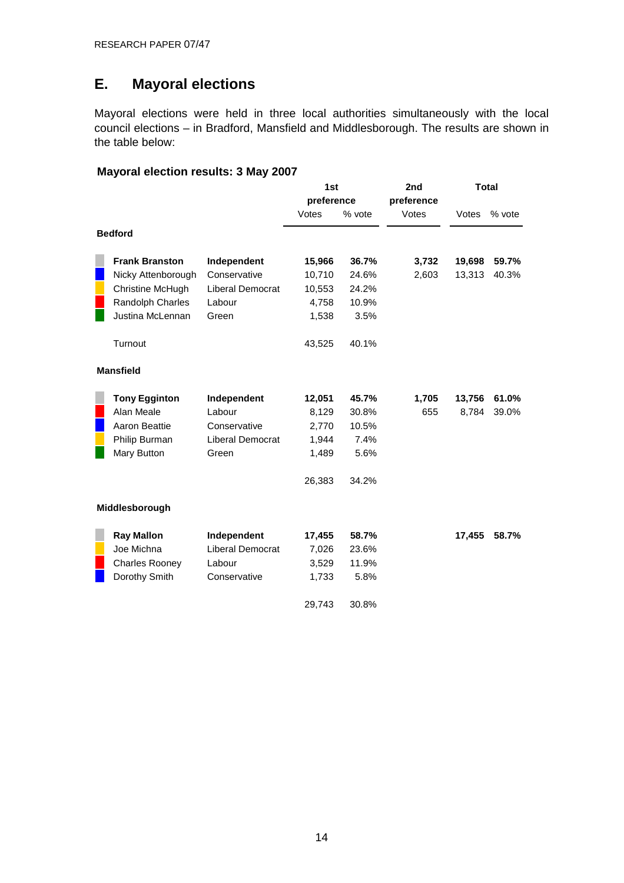## <span id="page-13-0"></span>**E. Mayoral elections**

Mayoral elections were held in three local authorities simultaneously with the local council elections – in Bradford, Mansfield and Middlesborough. The results are shown in the table below:

### **Mayoral election results: 3 May 2007**

|                       |                         | 1st        |        | 2nd        |        | <b>Total</b> |
|-----------------------|-------------------------|------------|--------|------------|--------|--------------|
|                       |                         | preference |        | preference |        |              |
|                       |                         | Votes      | % vote | Votes      | Votes  | % vote       |
| <b>Bedford</b>        |                         |            |        |            |        |              |
| <b>Frank Branston</b> | Independent             | 15,966     | 36.7%  | 3,732      | 19,698 | 59.7%        |
| Nicky Attenborough    | Conservative            | 10,710     | 24.6%  | 2,603      | 13,313 | 40.3%        |
| Christine McHugh      | Liberal Democrat        | 10,553     | 24.2%  |            |        |              |
| Randolph Charles      | Labour                  | 4,758      | 10.9%  |            |        |              |
| Justina McLennan      | Green                   | 1,538      | 3.5%   |            |        |              |
| Turnout               |                         | 43,525     | 40.1%  |            |        |              |
| <b>Mansfield</b>      |                         |            |        |            |        |              |
| <b>Tony Egginton</b>  | Independent             | 12,051     | 45.7%  | 1,705      | 13,756 | 61.0%        |
| Alan Meale            | Labour                  | 8,129      | 30.8%  | 655        | 8,784  | 39.0%        |
| Aaron Beattie         | Conservative            | 2,770      | 10.5%  |            |        |              |
| Philip Burman         | Liberal Democrat        | 1,944      | 7.4%   |            |        |              |
| Mary Button           | Green                   | 1,489      | 5.6%   |            |        |              |
|                       |                         | 26,383     | 34.2%  |            |        |              |
| Middlesborough        |                         |            |        |            |        |              |
| <b>Ray Mallon</b>     | Independent             | 17,455     | 58.7%  |            | 17,455 | 58.7%        |
| Joe Michna            | <b>Liberal Democrat</b> | 7,026      | 23.6%  |            |        |              |
| <b>Charles Rooney</b> | Labour                  | 3,529      | 11.9%  |            |        |              |
| Dorothy Smith         | Conservative            | 1,733      | 5.8%   |            |        |              |
|                       |                         | 29,743     | 30.8%  |            |        |              |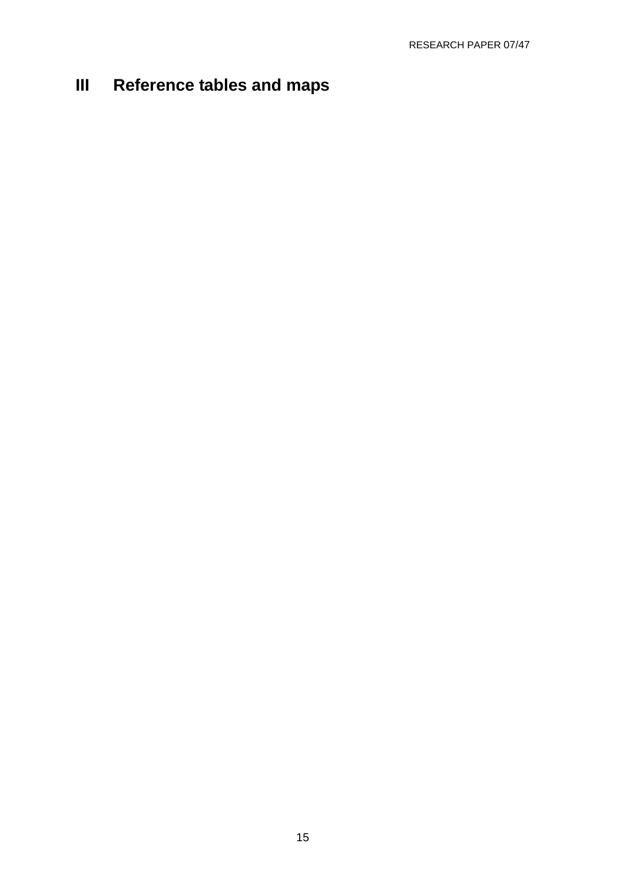## <span id="page-14-0"></span>**III Reference tables and maps**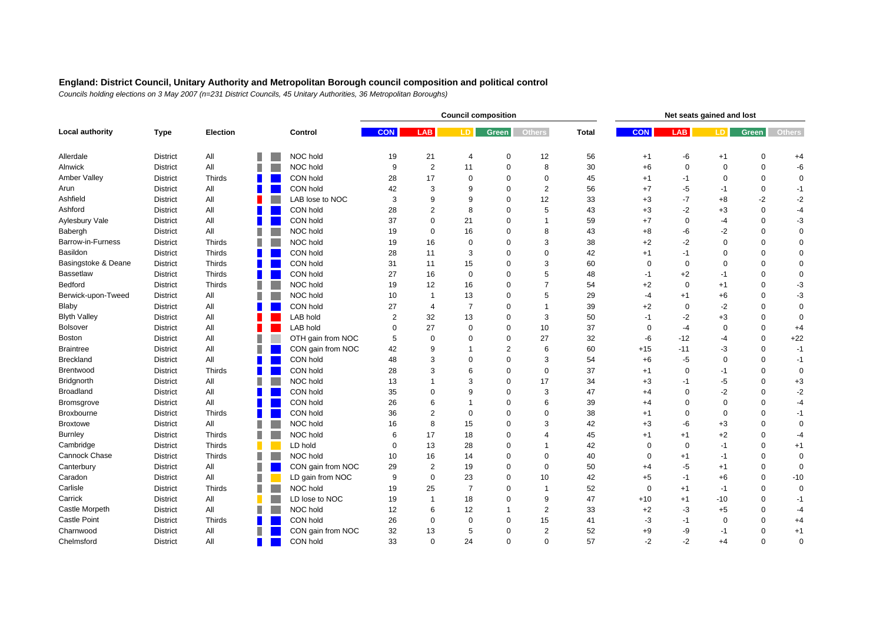|                     |                 |               |   |                   | <b>Council composition</b><br>Net seats gained and lost |                |                         |                |                |              |             |              |             |             |               |
|---------------------|-----------------|---------------|---|-------------------|---------------------------------------------------------|----------------|-------------------------|----------------|----------------|--------------|-------------|--------------|-------------|-------------|---------------|
| Local authority     | <b>Type</b>     | Election      |   | Control           | <b>CON</b>                                              | <b>LAB</b>     | LD.                     | <b>Green</b>   | <b>Others</b>  | <b>Total</b> | <b>CON</b>  | <b>LAB</b>   | LD.         | Green       | <b>Others</b> |
| Allerdale           | <b>District</b> | All           |   | NOC hold          | 19                                                      | 21             | $\overline{4}$          | 0              | 12             | 56           | $+1$        | -6           | $+1$        | $\mathbf 0$ | $+4$          |
| Alnwick             | District        | All           |   | NOC hold          | 9                                                       | 2              | 11                      | 0              | 8              | 30           | $+6$        | $\mathbf 0$  | $\mathbf 0$ | $\Omega$    | -6            |
| Amber Valley        | <b>District</b> | Thirds        |   | CON hold          | 28                                                      | 17             | $\Omega$                | $\mathbf 0$    | $\mathbf 0$    | 45           | $+1$        | $-1$         | $\mathbf 0$ | $\Omega$    | $\mathbf 0$   |
| Arun                | <b>District</b> | All           |   | CON hold          | 42                                                      | 3              | 9                       | $\Omega$       | $\overline{2}$ | 56           | $+7$        | -5           | $-1$        | $\mathbf 0$ | $-1$          |
| Ashfield            | <b>District</b> | All           |   | LAB lose to NOC   | 3                                                       | 9              | 9                       | $\Omega$       | 12             | 33           | $+3$        | $-7$         | $+8$        | $-2$        | $-2$          |
| Ashford             | <b>District</b> | All           |   | CON hold          | 28                                                      | $\overline{2}$ | 8                       | $\mathbf 0$    | 5              | 43           | $+3$        | $-2$         | $+3$        | $\mathbf 0$ | $-4$          |
| Aylesbury Vale      | <b>District</b> | All           |   | CON hold          | 37                                                      | $\Omega$       | 21                      | $\Omega$       | 1              | 59           | $+7$        | $\mathbf 0$  | $-4$        | $\Omega$    | -3            |
| Babergh             | <b>District</b> | All           |   | NOC hold          | 19                                                      | $\Omega$       | 16                      | $\Omega$       | 8              | 43           | $+8$        | -6           | $-2$        | $\Omega$    | $\mathbf 0$   |
| Barrow-in-Furness   | <b>District</b> | Thirds        |   | NOC hold          | 19                                                      | 16             | $\Omega$                | $\mathbf 0$    | 3              | 38           | $+2$        | $-2$         | $\mathbf 0$ | $\Omega$    | $\mathbf 0$   |
| Basildon            | <b>District</b> | Thirds        |   | CON hold          | 28                                                      | 11             | 3                       | $\Omega$       | $\Omega$       | 42           | $+1$        | $-1$         | $\mathbf 0$ | $\Omega$    | $\mathbf 0$   |
| Basingstoke & Deane | <b>District</b> | Thirds        |   | CON hold          | 31                                                      | 11             | 15                      | $\Omega$       | 3              | 60           | $\mathbf 0$ | $\mathbf 0$  | $\Omega$    | $\Omega$    | $\mathbf 0$   |
| Bassetlaw           | <b>District</b> | Thirds        |   | CON hold          | 27                                                      | 16             | $\mathbf 0$             | 0              | 5              | 48           | $-1$        | $+2$         | $-1$        | $\Omega$    | $\mathbf 0$   |
| <b>Bedford</b>      | <b>District</b> | <b>Thirds</b> |   | NOC hold          | 19                                                      | 12             | 16                      | $\Omega$       | 7              | 54           | $+2$        | $\mathbf{0}$ | $+1$        | 0           | -3            |
| Berwick-upon-Tweed  | <b>District</b> | All           |   | NOC hold          | 10                                                      | $\mathbf{1}$   | 13                      | $\Omega$       | 5              | 29           | -4          | $+1$         | $+6$        | $\Omega$    | $-3$          |
| Blaby               | <b>District</b> | All           |   | CON hold          | 27                                                      | $\overline{4}$ | $\overline{7}$          | $\mathbf 0$    | 1              | 39           | $+2$        | $\mathbf 0$  | $-2$        | $\Omega$    | $\mathbf 0$   |
| <b>Blyth Valley</b> | <b>District</b> | All           |   | LAB hold          | $\overline{2}$                                          | 32             | 13                      | $\Omega$       | 3              | 50           | $-1$        | $-2$         | $+3$        | $\Omega$    | $\mathbf 0$   |
| <b>Bolsover</b>     | <b>District</b> | All           |   | LAB hold          | $\Omega$                                                | 27             | $\Omega$                | 0              | 10             | 37           | $\Omega$    | $-4$         | $\mathbf 0$ | $\Omega$    | $+4$          |
| <b>Boston</b>       | <b>District</b> | All           |   | OTH gain from NOC | 5                                                       | $\mathbf 0$    | $\Omega$                | $\mathbf 0$    | 27             | 32           | -6          | $-12$        | $-4$        | $\mathbf 0$ | $+22$         |
| <b>Braintree</b>    | <b>District</b> | All           |   | CON gain from NOC | 42                                                      | 9              | $\mathbf 1$             | $\overline{2}$ | 6              | 60           | $+15$       | $-11$        | -3          | $\mathbf 0$ | $-1$          |
| <b>Breckland</b>    | <b>District</b> | All           |   | CON hold          | 48                                                      | 3              | $\Omega$                | $\Omega$       | 3              | 54           | $+6$        | -5           | $\mathbf 0$ | $\mathbf 0$ | $-1$          |
| <b>Brentwood</b>    | <b>District</b> | Thirds        |   | CON hold          | 28                                                      | 3              | 6                       | $\Omega$       | $\mathbf{0}$   | 37           | $+1$        | $\mathbf 0$  | $-1$        | $\Omega$    | 0             |
| Bridgnorth          | <b>District</b> | All           |   | NOC hold          | 13                                                      |                | 3                       | $\Omega$       | 17             | 34           | $+3$        | $-1$         | $-5$        | $\Omega$    | $+3$          |
| <b>Broadland</b>    | <b>District</b> | All           |   | CON hold          | 35                                                      | $\Omega$       | 9                       | $\Omega$       | 3              | 47           | $+4$        | $\mathbf 0$  | $-2$        | $\Omega$    | $-2$          |
| Bromsgrove          | <b>District</b> | All           |   | CON hold          | 26                                                      | 6              | $\overline{\mathbf{1}}$ | $\mathbf 0$    | 6              | 39           | $+4$        | 0            | $\mathbf 0$ | $\Omega$    | $-4$          |
| Broxbourne          | <b>District</b> | Thirds        |   | CON hold          | 36                                                      | $\overline{2}$ | $\Omega$                | $\Omega$       | $\Omega$       | 38           | $+1$        | $\mathbf 0$  | $\mathbf 0$ | $\mathbf 0$ | $-1$          |
| <b>Broxtowe</b>     | <b>District</b> | All           |   | NOC hold          | 16                                                      | 8              | 15                      | $\Omega$       | 3              | 42           | $+3$        | -6           | $+3$        | $\Omega$    | $\mathbf 0$   |
| <b>Burnley</b>      | <b>District</b> | <b>Thirds</b> | ш | NOC hold          | 6                                                       | 17             | 18                      | $\Omega$       | 4              | 45           | $+1$        | $+1$         | $+2$        | $\Omega$    | $-4$          |
| Cambridge           | <b>District</b> | <b>Thirds</b> |   | LD hold           | $\Omega$                                                | 13             | 28                      | $\Omega$       | 1              | 42           | $\mathbf 0$ | $\mathbf{0}$ | $-1$        | $\Omega$    | $+1$          |
| Cannock Chase       | <b>District</b> | Thirds        |   | NOC hold          | 10                                                      | 16             | 14                      | $\Omega$       | $\mathbf 0$    | 40           | $\Omega$    | $+1$         | $-1$        | $\Omega$    | $\mathbf 0$   |
| Canterbury          | <b>District</b> | All           |   | CON gain from NOC | 29                                                      | $\mathbf{2}$   | 19                      | $\mathbf 0$    | $\mathbf{0}$   | 50           | $+4$        | $-5$         | $+1$        | $\Omega$    | $\mathbf 0$   |
| Caradon             | <b>District</b> | All           |   | LD gain from NOC  | 9                                                       | $\mathbf 0$    | 23                      | $\Omega$       | 10             | 42           | $+5$        | $-1$         | $+6$        | $\mathbf 0$ | $-10$         |
| Carlisle            | <b>District</b> | Thirds        |   | NOC hold          | 19                                                      | 25             | $\overline{7}$          | $\Omega$       | 1              | 52           | 0           | $+1$         | $-1$        | $\Omega$    | $\mathbf 0$   |
| Carrick             | <b>District</b> | All           |   | LD lose to NOC    | 19                                                      | $\mathbf{1}$   | 18                      | 0              | 9              | 47           | $+10$       | $+1$         | $-10$       | $\mathbf 0$ | $-1$          |
| Castle Morpeth      | <b>District</b> | All           |   | NOC hold          | 12                                                      | 6              | 12                      | 1              | $\overline{2}$ | 33           | $+2$        | -3           | $+5$        | $\Omega$    | $-4$          |
| <b>Castle Point</b> | <b>District</b> | <b>Thirds</b> |   | CON hold          | 26                                                      | $\Omega$       | $\Omega$                | $\Omega$       | 15             | 41           | -3          | -1           | $\mathbf 0$ | $\Omega$    | $+4$          |
| Charnwood           | <b>District</b> | All           |   | CON gain from NOC | 32                                                      | 13             | 5                       | $\Omega$       | $\overline{2}$ | 52           | $+9$        | -9           | $-1$        | $\Omega$    | $+1$          |
| Chelmsford          | <b>District</b> | All           |   | CON hold          | 33                                                      | $\Omega$       | 24                      | $\Omega$       | $\Omega$       | 57           | $-2$        | $-2$         | $+4$        | $\Omega$    | $\Omega$      |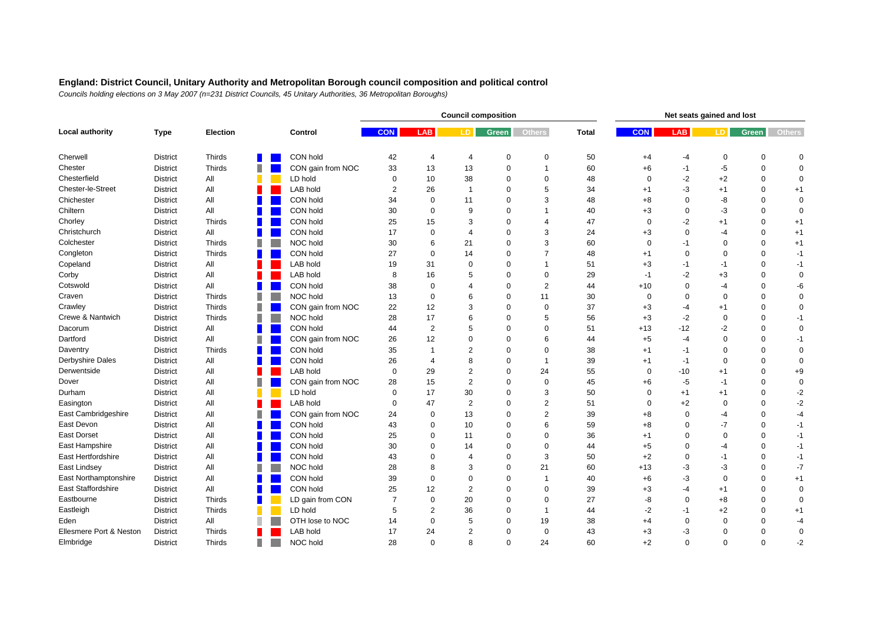|                         |                 |                 |   |                   |                |                | <b>Council composition</b> |              |                |              |             | Net seats gained and lost |             |             |               |
|-------------------------|-----------------|-----------------|---|-------------------|----------------|----------------|----------------------------|--------------|----------------|--------------|-------------|---------------------------|-------------|-------------|---------------|
| <b>Local authority</b>  | <b>Type</b>     | <b>Election</b> |   | Control           | <b>CON</b>     | <b>LAB</b>     | LD.                        | <b>Green</b> | <b>Others</b>  | <b>Total</b> | <b>CON</b>  | <b>LAB</b>                | LD.         | Green       | <b>Others</b> |
| Cherwell                | <b>District</b> | Thirds          |   | CON hold          | 42             | $\overline{4}$ | $\overline{4}$             | 0            | 0              | 50           | $+4$        | -4                        | 0           | $\mathbf 0$ | $\mathbf 0$   |
| Chester                 | <b>District</b> | Thirds          |   | CON gain from NOC | 33             | 13             | 13                         | 0            | 1              | 60           | $+6$        | $-1$                      | $-5$        | $\mathbf 0$ | $\mathbf 0$   |
| Chesterfield            | <b>District</b> | All             |   | LD hold           | $\mathbf 0$    | 10             | 38                         | $\mathbf 0$  | $\Omega$       | 48           | $\Omega$    | $-2$                      | $+2$        | $\Omega$    | $\mathbf 0$   |
| Chester-le-Street       | <b>District</b> | All             |   | LAB hold          | $\overline{2}$ | 26             | $\overline{1}$             | $\mathbf 0$  | 5              | 34           | $+1$        | -3                        | $+1$        | $\mathbf 0$ | $+1$          |
| Chichester              | <b>District</b> | All             |   | CON hold          | 34             | $\Omega$       | 11                         | $\mathbf 0$  | 3              | 48           | $+8$        | $\Omega$                  | -8          | $\Omega$    | $\mathbf 0$   |
| Chiltern                | <b>District</b> | All             |   | CON hold          | 30             | 0              | 9                          | 0            | 1              | 40           | $+3$        | $\mathbf 0$               | -3          | $\mathbf 0$ | $\mathbf 0$   |
| Chorley                 | <b>District</b> | Thirds          |   | CON hold          | 25             | 15             | 3                          | $\Omega$     | 4              | 47           | $\Omega$    | $-2$                      | $+1$        | $\Omega$    | $+1$          |
| Christchurch            | <b>District</b> | All             |   | CON hold          | 17             | $\Omega$       | 4                          | $\Omega$     | 3              | 24           | $+3$        | $\Omega$                  | $-4$        | $\Omega$    | $+1$          |
| Colchester              | <b>District</b> | Thirds          |   | NOC hold          | 30             | 6              | 21                         | $\mathbf 0$  | 3              | 60           | $\mathbf 0$ | $-1$                      | $\mathbf 0$ | $\Omega$    | $+1$          |
| Congleton               | <b>District</b> | Thirds          |   | CON hold          | 27             | $\Omega$       | 14                         | $\Omega$     | $\overline{7}$ | 48           | $+1$        | $\mathbf 0$               | $\mathbf 0$ | $\Omega$    | $-1$          |
| Copeland                | <b>District</b> | All             |   | LAB hold          | 19             | 31             | $\Omega$                   | $\Omega$     | 1              | 51           | $+3$        | -1                        | -1          | $\Omega$    | $-1$          |
| Corby                   | <b>District</b> | All             |   | LAB hold          | 8              | 16             | 5                          | $\mathbf 0$  | 0              | 29           | $-1$        | $-2$                      | $+3$        | $\Omega$    | $\mathbf 0$   |
| Cotswold                | <b>District</b> | All             |   | CON hold          | 38             | $\mathbf 0$    | 4                          | $\Omega$     | $\overline{2}$ | 44           | $+10$       | $\Omega$                  | $-4$        | $\mathbf 0$ | -6            |
| Craven                  | <b>District</b> | Thirds          |   | NOC hold          | 13             | $\mathbf 0$    | 6                          | $\Omega$     | 11             | 30           | $\Omega$    | $\mathbf 0$               | $\mathbf 0$ | $\Omega$    | $\mathbf 0$   |
| Crawley                 | <b>District</b> | Thirds          |   | CON gain from NOC | 22             | 12             | 3                          | 0            | $\pmb{0}$      | 37           | $+3$        | $-4$                      | $+1$        | $\Omega$    | $\mathbf 0$   |
| Crewe & Nantwich        | <b>District</b> | Thirds          |   | NOC hold          | 28             | 17             | 6                          | $\Omega$     | 5              | 56           | $+3$        | -2                        | $\mathbf 0$ | $\Omega$    | $-1$          |
| Dacorum                 | <b>District</b> | All             |   | CON hold          | 44             | 2              | 5                          | $\Omega$     | $\Omega$       | 51           | $+13$       | $-12$                     | -2          | $\Omega$    | $\mathbf 0$   |
| Dartford                | <b>District</b> | All             |   | CON gain from NOC | 26             | 12             | $\Omega$                   | $\mathbf 0$  | 6              | 44           | $+5$        | $-4$                      | $\mathbf 0$ | $\mathbf 0$ | $-1$          |
| Daventry                | <b>District</b> | Thirds          |   | CON hold          | 35             | $\overline{1}$ | $\overline{2}$             | $\Omega$     | 0              | 38           | $+1$        | -1                        | $\mathbf 0$ | $\mathbf 0$ | $\mathbf 0$   |
| Derbyshire Dales        | <b>District</b> | All             |   | CON hold          | 26             | $\overline{4}$ | 8                          | $\Omega$     | 1              | 39           | $+1$        | $-1$                      | $\Omega$    | $\Omega$    | $\mathbf 0$   |
| Derwentside             | <b>District</b> | All             |   | LAB hold          | $\mathbf 0$    | 29             | $\overline{2}$             | $\Omega$     | 24             | 55           | $\mathbf 0$ | $-10$                     | $+1$        | $\Omega$    | $+9$          |
| Dover                   | <b>District</b> | All             | ш | CON gain from NOC | 28             | 15             | $\overline{2}$             | $\Omega$     | $\mathbf 0$    | 45           | $+6$        | $-5$                      | $-1$        | $\Omega$    | $\mathbf 0$   |
| Durham                  | <b>District</b> | All             |   | LD hold           | $\Omega$       | 17             | 30                         | $\Omega$     | 3              | 50           | $\Omega$    | $+1$                      | $+1$        | $\Omega$    | $-2$          |
| Easington               | <b>District</b> | All             |   | LAB hold          | $\mathbf 0$    | 47             | 2                          | $\Omega$     | $\overline{2}$ | 51           | $\Omega$    | $+2$                      | $\mathbf 0$ | $\Omega$    | $-2$          |
| East Cambridgeshire     | <b>District</b> | All             |   | CON gain from NOC | 24             | $\mathbf 0$    | 13                         | $\Omega$     | $\overline{2}$ | 39           | $+8$        | $\Omega$                  | $-4$        | $\Omega$    | $-4$          |
| East Devon              | <b>District</b> | All             |   | CON hold          | 43             | 0              | 10                         | $\Omega$     | 6              | 59           | $+8$        | $\Omega$                  | $-7$        | $\Omega$    | $-1$          |
| <b>East Dorset</b>      | <b>District</b> | All             |   | CON hold          | 25             | $\Omega$       | 11                         | $\Omega$     | $\Omega$       | 36           | $+1$        | $\Omega$                  | $\mathbf 0$ | $\Omega$    | $-1$          |
| East Hampshire          | <b>District</b> | All             |   | CON hold          | 30             | $\Omega$       | 14                         | $\Omega$     | $\Omega$       | 44           | $+5$        | $\Omega$                  | $-4$        | $\Omega$    | $-1$          |
| East Hertfordshire      | <b>District</b> | All             |   | CON hold          | 43             | $\Omega$       | $\overline{4}$             | $\Omega$     | 3              | 50           | $+2$        | $\Omega$                  | $-1$        | $\Omega$    | $-1$          |
| East Lindsey            | <b>District</b> | All             |   | NOC hold          | 28             | 8              | 3                          | $\Omega$     | 21             | 60           | $+13$       | -3                        | $-3$        | $\Omega$    | $-7$          |
| East Northamptonshire   | <b>District</b> | All             |   | CON hold          | 39             | $\Omega$       | $\Omega$                   | $\Omega$     | $\overline{1}$ | 40           | $+6$        | -3                        | $\mathbf 0$ | $\Omega$    | $+1$          |
| East Staffordshire      | <b>District</b> | All             |   | CON hold          | 25             | 12             | $\overline{2}$             | $\Omega$     | $\Omega$       | 39           | $+3$        | $-4$                      | $+1$        | $\Omega$    | $\mathbf 0$   |
| Eastbourne              | <b>District</b> | Thirds          |   | LD gain from CON  | $\overline{7}$ | $\mathbf 0$    | 20                         | $\Omega$     | $\Omega$       | 27           | -8          | $\mathbf 0$               | $+8$        | $\Omega$    | $\mathbf 0$   |
| Eastleigh               | <b>District</b> | <b>Thirds</b>   |   | LD hold           | 5              | $\overline{2}$ | 36                         | $\Omega$     | -1             | 44           | -2          | -1                        | $+2$        | $\Omega$    | $+1$          |
| Eden                    | <b>District</b> | All             |   | OTH lose to NOC   | 14             | $\mathbf 0$    | 5                          | $\mathbf 0$  | 19             | 38           | $+4$        | $\mathbf 0$               | $\mathbf 0$ | $\Omega$    | $-4$          |
| Ellesmere Port & Neston | <b>District</b> | Thirds          |   | LAB hold          | 17             | 24             | $\overline{2}$             | $\Omega$     | $\mathbf 0$    | 43           | $+3$        | -3                        | $\mathbf 0$ | $\Omega$    | $\mathbf 0$   |
| Elmbridge               | <b>District</b> | <b>Thirds</b>   | Ш | NOC hold          | 28             | $\Omega$       | 8                          | $\Omega$     | 24             | 60           | $+2$        | $\Omega$                  | $\Omega$    | $\Omega$    | $-2$          |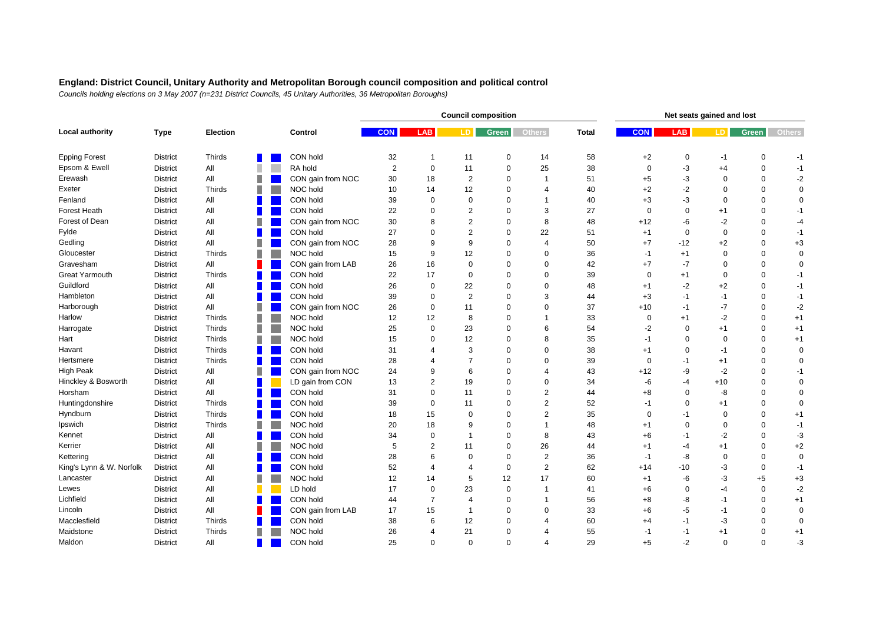|                          |                 |                 |   |                   |                |                | <b>Council composition</b> |             |                |              |             | Net seats gained and lost |             |              |               |
|--------------------------|-----------------|-----------------|---|-------------------|----------------|----------------|----------------------------|-------------|----------------|--------------|-------------|---------------------------|-------------|--------------|---------------|
| Local authority          | <b>Type</b>     | <b>Election</b> |   | Control           | <b>CON</b>     | <b>LAB</b>     | LD.                        | Green       | <b>Others</b>  | <b>Total</b> | <b>CON</b>  | <b>LAB</b>                | LD.         | <b>Green</b> | <b>Others</b> |
| <b>Epping Forest</b>     | <b>District</b> | Thirds          |   | CON hold          | 32             | -1             | 11                         | 0           | 14             | 58           | $+2$        | 0                         | -1          | 0            | -1            |
| Epsom & Ewell            | <b>District</b> | All             | ш | RA hold           | $\overline{2}$ | $\mathbf 0$    | 11                         | $\mathbf 0$ | 25             | 38           | $\mathbf 0$ | -3                        | $+4$        | $\mathbf 0$  | $-1$          |
| Erewash                  | <b>District</b> | All             |   | CON gain from NOC | 30             | 18             | $\overline{2}$             | $\mathbf 0$ | $\overline{1}$ | 51           | $+5$        | -3                        | $\mathbf 0$ | $\Omega$     | $-2$          |
| Exeter                   | <b>District</b> | <b>Thirds</b>   |   | NOC hold          | 10             | 14             | 12                         | $\mathbf 0$ | $\overline{4}$ | 40           | $+2$        | $-2$                      | $\mathbf 0$ | $\Omega$     | $\mathbf 0$   |
| Fenland                  | <b>District</b> | All             |   | CON hold          | 39             | $\Omega$       | $\Omega$                   | $\Omega$    | 1              | 40           | $+3$        | -3                        | $\mathbf 0$ | $\Omega$     | $\mathbf 0$   |
| Forest Heath             | <b>District</b> | All             |   | CON hold          | 22             | $\Omega$       | $\overline{2}$             | $\Omega$    | 3              | 27           | $\Omega$    | $\mathbf 0$               | $+1$        | $\Omega$     | $-1$          |
| Forest of Dean           | <b>District</b> | All             |   | CON gain from NOC | 30             | 8              | $\overline{2}$             | $\Omega$    | 8              | 48           | $+12$       | -6                        | $-2$        | $\Omega$     | $-4$          |
| Fylde                    | <b>District</b> | All             |   | CON hold          | 27             | $\Omega$       | $\overline{2}$             | $\Omega$    | 22             | 51           | $+1$        | $\mathbf 0$               | $\mathbf 0$ | $\Omega$     | $-1$          |
| Gedling                  | <b>District</b> | All             |   | CON gain from NOC | 28             | 9              | 9                          | $\Omega$    | $\overline{4}$ | 50           | $+7$        | $-12$                     | $+2$        | $\Omega$     | $+3$          |
| Gloucester               | <b>District</b> | Thirds          | п | NOC hold          | 15             | 9              | 12                         | $\mathbf 0$ | $\mathbf 0$    | 36           | $-1$        | $+1$                      | $\pmb{0}$   | $\Omega$     | $\mathbf 0$   |
| Gravesham                | <b>District</b> | All             |   | CON gain from LAB | 26             | 16             | $\mathbf 0$                | $\Omega$    | $\Omega$       | 42           | $+7$        | $-7$                      | $\mathbf 0$ | $\Omega$     | $\mathbf 0$   |
| Great Yarmouth           | <b>District</b> | <b>Thirds</b>   |   | CON hold          | 22             | 17             | $\mathbf 0$                | $\Omega$    | $\mathbf 0$    | 39           | $\mathbf 0$ | $+1$                      | $\mathbf 0$ | $\Omega$     | $-1$          |
| Guildford                | <b>District</b> | All             |   | CON hold          | 26             | 0              | 22                         | $\mathbf 0$ | $\mathbf 0$    | 48           | $+1$        | $-2$                      | $+2$        | $\mathbf 0$  | $-1$          |
| Hambleton                | <b>District</b> | All             |   | CON hold          | 39             | 0              | $\overline{2}$             | $\Omega$    | 3              | 44           | $+3$        | -1                        | $-1$        | $\mathbf 0$  | $-1$          |
| Harborough               | <b>District</b> | All             |   | CON gain from NOC | 26             | $\mathbf 0$    | 11                         | $\mathbf 0$ | $\Omega$       | 37           | $+10$       | $-1$                      | $-7$        | $\mathbf 0$  | $-2$          |
| Harlow                   | <b>District</b> | Thirds          |   | NOC hold          | 12             | 12             | 8                          | $\Omega$    | 1              | 33           | $\mathbf 0$ | $+1$                      | $-2$        | $\Omega$     | $+1$          |
| Harrogate                | <b>District</b> | Thirds          |   | NOC hold          | 25             | $\Omega$       | 23                         | $\Omega$    | 6              | 54           | $-2$        | $\mathbf 0$               | $+1$        | $\Omega$     | $+1$          |
| Hart                     | <b>District</b> | Thirds          |   | NOC hold          | 15             | $\Omega$       | 12                         | $\Omega$    | 8              | 35           | $-1$        | $\Omega$                  | $\mathbf 0$ | $\Omega$     | $+1$          |
| Havant                   | <b>District</b> | Thirds          |   | CON hold          | 31             |                | 3                          | $\Omega$    | $\mathbf 0$    | 38           | $+1$        | $\mathbf 0$               | $-1$        | $\mathbf 0$  | $\mathbf 0$   |
| Hertsmere                | <b>District</b> | Thirds          |   | CON hold          | 28             |                | $\overline{7}$             | $\Omega$    | $\Omega$       | 39           | $\Omega$    | $-1$                      | $+1$        | $\Omega$     | $\mathbf 0$   |
| High Peak                | <b>District</b> | All             |   | CON gain from NOC | 24             | 9              | 6                          | $\Omega$    | 4              | 43           | $+12$       | -9                        | $-2$        | $\Omega$     | $-1$          |
| Hinckley & Bosworth      | <b>District</b> | All             |   | LD gain from CON  | 13             | $\overline{2}$ | 19                         | $\mathbf 0$ | $\Omega$       | 34           | -6          | $-4$                      | $+10$       | $\Omega$     | $\mathbf 0$   |
| Horsham                  | <b>District</b> | All             |   | CON hold          | 31             | $\Omega$       | 11                         | $\Omega$    | $\overline{2}$ | 44           | $+8$        | 0                         | -8          | $\Omega$     | $\mathbf 0$   |
| Huntingdonshire          | <b>District</b> | Thirds          |   | CON hold          | 39             | $\mathbf 0$    | 11                         | $\Omega$    | 2              | 52           | $-1$        | $\mathbf 0$               | $+1$        | $\Omega$     | $\mathbf 0$   |
| Hyndburn                 | <b>District</b> | Thirds          |   | CON hold          | 18             | 15             | $\mathbf 0$                | $\mathbf 0$ | $\overline{c}$ | 35           | $\Omega$    | $-1$                      | 0           | 0            | $+1$          |
| Ipswich                  | District        | Thirds          |   | NOC hold          | 20             | 18             | 9                          | 0           | 1              | 48           | $+1$        | $\mathbf 0$               | $\pmb{0}$   | $\Omega$     | $-1$          |
| Kennet                   | <b>District</b> | All             |   | CON hold          | 34             | $\mathbf 0$    | $\overline{1}$             | $\mathbf 0$ | 8              | 43           | $+6$        | $-1$                      | $-2$        | $\Omega$     | $-3$          |
| Kerrier                  | <b>District</b> | All             |   | NOC hold          | 5              | $\overline{2}$ | 11                         | $\mathbf 0$ | 26             | 44           | $+1$        | $-4$                      | $+1$        | $\Omega$     | $+2$          |
| Kettering                | <b>District</b> | All             |   | CON hold          | 28             | 6              | $\mathbf 0$                | $\mathbf 0$ | $\overline{2}$ | 36           | $-1$        | -8                        | $\mathbf 0$ | $\Omega$     | $\mathbf 0$   |
| King's Lynn & W. Norfolk | <b>District</b> | All             |   | CON hold          | 52             | $\overline{4}$ | $\overline{4}$             | 0           | $\overline{2}$ | 62           | $+14$       | $-10$                     | -3          | $\mathbf 0$  | $-1$          |
| Lancaster                | <b>District</b> | All             |   | NOC hold          | 12             | 14             | 5                          | 12          | 17             | 60           | $+1$        | -6                        | -3          | $+5$         | $+3$          |
| Lewes                    | <b>District</b> | All             |   | LD hold           | 17             | $\mathbf 0$    | 23                         | 0           | 1              | 41           | $+6$        | $\mathbf 0$               | $-4$        | $\mathbf 0$  | $-2$          |
| Lichfield                | <b>District</b> | All             |   | CON hold          | 44             | $\overline{7}$ | $\boldsymbol{\Delta}$      | $\Omega$    | 1              | 56           | $+8$        | -8                        | $-1$        | $\Omega$     | $+1$          |
| Lincoln                  | <b>District</b> | All             |   | CON gain from LAB | 17             | 15             | $\overline{\mathbf{1}}$    | $\Omega$    | $\Omega$       | 33           | $+6$        | -5                        | $-1$        | $\mathbf 0$  | $\mathbf 0$   |
| Macclesfield             | <b>District</b> | <b>Thirds</b>   |   | CON hold          | 38             | 6              | 12                         | $\Omega$    | 4              | 60           | $+4$        | -1                        | -3          | $\Omega$     | $\mathbf 0$   |
| Maidstone                | <b>District</b> | Thirds          |   | NOC hold          | 26             | ⊿              | 21                         | $\mathbf 0$ | 4              | 55           | $-1$        | -1                        | $+1$        | $\Omega$     | $+1$          |
| Maldon                   | <b>District</b> | All             |   | CON hold          | 25             | $\Omega$       | $\Omega$                   | $\Omega$    | 4              | 29           | $+5$        | $-2$                      | $\Omega$    | $\Omega$     | $-3$          |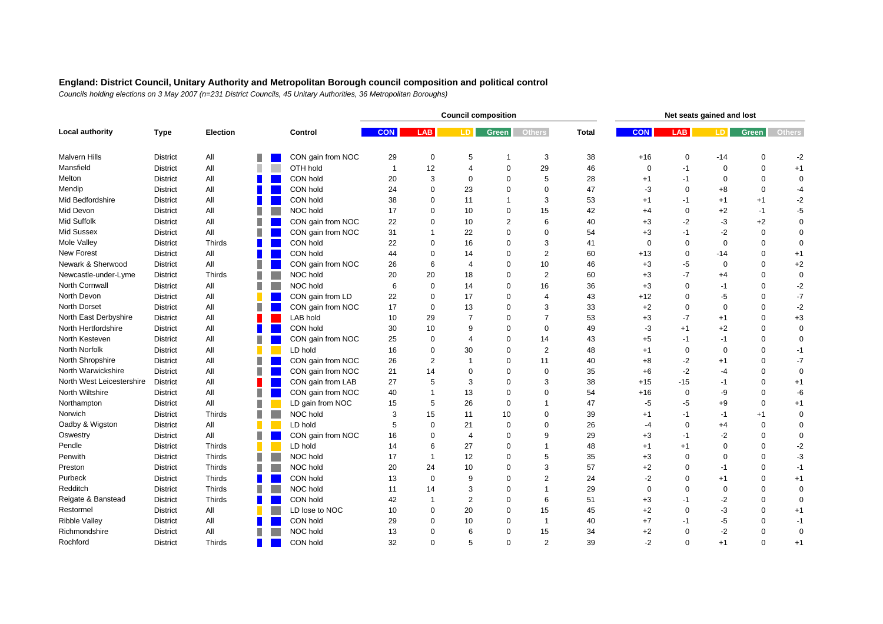|                           |                 |                 |   |                   |                |                | <b>Council composition</b> |                |                | Net seats gained and lost |             |              |             |             |               |  |
|---------------------------|-----------------|-----------------|---|-------------------|----------------|----------------|----------------------------|----------------|----------------|---------------------------|-------------|--------------|-------------|-------------|---------------|--|
| Local authority           | <b>Type</b>     | <b>Election</b> |   | Control           | <b>CON</b>     | <b>LAB</b>     | LD.                        | <b>Green</b>   | <b>Others</b>  | <b>Total</b>              | <b>CON</b>  | <b>LAB</b>   | LD.         | Green       | <b>Others</b> |  |
| <b>Malvern Hills</b>      | <b>District</b> | All             |   | CON gain from NOC | 29             | 0              | 5                          |                | 3              | 38                        | $+16$       | 0            | -14         | $\mathbf 0$ | $-2$          |  |
| Mansfield                 | <b>District</b> | All             |   | OTH hold          | $\overline{1}$ | 12             | $\overline{4}$             | $\mathbf 0$    | 29             | 46                        | 0           | $-1$         | $\mathbf 0$ | $\mathbf 0$ | $+1$          |  |
| Melton                    | <b>District</b> | All             |   | CON hold          | 20             | 3              | $\Omega$                   | $\Omega$       | 5              | 28                        | $+1$        | $-1$         | $\mathbf 0$ | $\Omega$    | $\mathbf 0$   |  |
| Mendip                    | <b>District</b> | All             |   | CON hold          | 24             | 0              | 23                         | $\mathbf 0$    | $\mathbf 0$    | 47                        | -3          | $\mathbf 0$  | $+8$        | $\mathbf 0$ | $-4$          |  |
| Mid Bedfordshire          | <b>District</b> | All             |   | CON hold          | 38             | $\Omega$       | 11                         | 1              | 3              | 53                        | $+1$        | -1           | $+1$        | $+1$        | $-2$          |  |
| Mid Devon                 | <b>District</b> | All             |   | NOC hold          | 17             | $\Omega$       | 10                         | $\Omega$       | 15             | 42                        | $+4$        | $\mathbf 0$  | $+2$        | $-1$        | $-5$          |  |
| Mid Suffolk               | <b>District</b> | All             |   | CON gain from NOC | 22             | $\Omega$       | 10                         | $\overline{2}$ | 6              | 40                        | $+3$        | $-2$         | $-3$        | $+2$        | $\mathbf 0$   |  |
| Mid Sussex                | <b>District</b> | All             |   | CON gain from NOC | 31             |                | 22                         | $\Omega$       | $\mathbf 0$    | 54                        | $+3$        | $-1$         | $-2$        | $\mathbf 0$ | $\mathbf 0$   |  |
| Mole Valley               | <b>District</b> | Thirds          |   | CON hold          | 22             | $\Omega$       | 16                         | $\Omega$       | 3              | 41                        | $\mathbf 0$ | $\Omega$     | $\mathbf 0$ | $\Omega$    | $\mathbf 0$   |  |
| <b>New Forest</b>         | <b>District</b> | All             |   | CON hold          | 44             | 0              | 14                         | $\mathbf 0$    | $\overline{2}$ | 60                        | $+13$       | $\mathbf 0$  | $-14$       | $\Omega$    | $+1$          |  |
| Newark & Sherwood         | <b>District</b> | All             |   | CON gain from NOC | 26             | 6              | $\boldsymbol{\Delta}$      | $\Omega$       | 10             | 46                        | $+3$        | -5           | $\mathbf 0$ | $\Omega$    | $+2$          |  |
| Newcastle-under-Lyme      | <b>District</b> | <b>Thirds</b>   |   | NOC hold          | 20             | 20             | 18                         | $\Omega$       | $\overline{2}$ | 60                        | $+3$        | $-7$         | $+4$        | $\Omega$    | $\mathbf 0$   |  |
| North Cornwall            | <b>District</b> | All             |   | NOC hold          | 6              | 0              | 14                         | $\mathbf 0$    | 16             | 36                        | $+3$        | $\mathbf 0$  | $-1$        | $\mathbf 0$ | $-2$          |  |
| North Devon               | <b>District</b> | All             |   | CON gain from LD  | 22             | 0              | 17                         | $\Omega$       | $\overline{4}$ | 43                        | $+12$       | 0            | $-5$        | $\mathbf 0$ | $-7$          |  |
| North Dorset              | <b>District</b> | All             |   | CON gain from NOC | 17             | $\mathbf 0$    | 13                         | $\mathbf 0$    | 3              | 33                        | $+2$        | 0            | $\mathbf 0$ | $\Omega$    | $-2$          |  |
| North East Derbyshire     | <b>District</b> | All             |   | <b>LAB hold</b>   | 10             | 29             | $\overline{7}$             | $\Omega$       | $\overline{7}$ | 53                        | $+3$        | $-7$         | $+1$        | $\Omega$    | $+3$          |  |
| North Hertfordshire       | <b>District</b> | All             |   | CON hold          | 30             | 10             | $\mathbf{Q}$               | $\Omega$       | $\mathbf 0$    | 49                        | -3          | $+1$         | $+2$        | $\Omega$    | $\mathbf 0$   |  |
| North Kesteven            | <b>District</b> | All             |   | CON gain from NOC | 25             | $\Omega$       | $\boldsymbol{\Delta}$      | $\Omega$       | 14             | 43                        | $+5$        | $-1$         | $-1$        | $\Omega$    | $\mathbf 0$   |  |
| North Norfolk             | <b>District</b> | All             |   | LD hold           | 16             | $\Omega$       | 30                         | $\mathbf 0$    | $\overline{2}$ | 48                        | $+1$        | $\mathbf{0}$ | $\mathbf 0$ | $\Omega$    | $-1$          |  |
| North Shropshire          | <b>District</b> | All             |   | CON gain from NOC | 26             | $\overline{2}$ | $\mathbf 1$                | $\Omega$       | 11             | 40                        | $+8$        | $-2$         | $+1$        | $\Omega$    | $-7$          |  |
| North Warwickshire        | <b>District</b> | All             |   | CON gain from NOC | 21             | 14             | $\Omega$                   | $\Omega$       | $\mathbf 0$    | 35                        | $+6$        | $-2$         | $-4$        | $\Omega$    | $\mathbf 0$   |  |
| North West Leicestershire | <b>District</b> | All             |   | CON gain from LAB | 27             | 5              | 3                          | $\Omega$       | 3              | 38                        | $+15$       | $-15$        | $-1$        | $\Omega$    | $+1$          |  |
| North Wiltshire           | <b>District</b> | All             | П | CON gain from NOC | 40             |                | 13                         | $\Omega$       | $\Omega$       | 54                        | $+16$       | $\mathbf{0}$ | -9          | $\Omega$    | -6            |  |
| Northampton               | <b>District</b> | All             |   | LD gain from NOC  | 15             | 5              | 26                         | $\mathbf 0$    |                | 47                        | $-5$        | -5           | $+9$        | $\mathbf 0$ | $+1$          |  |
| Norwich                   | <b>District</b> | Thirds          |   | NOC hold          | 3              | 15             | 11                         | 10             | $\mathbf 0$    | 39                        | $+1$        | $-1$         | $-1$        | $+1$        | $\mathbf 0$   |  |
| Oadby & Wigston           | <b>District</b> | All             |   | LD hold           | 5              | $\mathbf 0$    | 21                         | $\mathbf 0$    | $\Omega$       | 26                        | $-4$        | 0            | $+4$        | $\mathbf 0$ | $\mathbf 0$   |  |
| Oswestry                  | <b>District</b> | All             |   | CON gain from NOC | 16             | $\Omega$       | $\overline{4}$             | $\mathbf 0$    | 9              | 29                        | $+3$        | $-1$         | $-2$        | $\Omega$    | $\mathbf 0$   |  |
| Pendle                    | <b>District</b> | Thirds          |   | LD hold           | 14             | 6              | 27                         | $\Omega$       | 1              | 48                        | $+1$        | $+1$         | $\mathbf 0$ | $\Omega$    | $-2$          |  |
| Penwith                   | <b>District</b> | Thirds          |   | NOC hold          | 17             |                | 12                         | $\Omega$       | 5              | 35                        | $+3$        | $\mathbf 0$  | $\mathbf 0$ | $\Omega$    | -3            |  |
| Preston                   | <b>District</b> | Thirds          |   | NOC hold          | 20             | 24             | 10                         | $\Omega$       | 3              | 57                        | $+2$        | $\Omega$     | $-1$        | $\Omega$    | $-1$          |  |
| Purbeck                   | <b>District</b> | Thirds          |   | CON hold          | 13             | $\mathbf 0$    | 9                          | $\Omega$       | $\overline{2}$ | 24                        | $-2$        | $\Omega$     | $+1$        | $\Omega$    | $+1$          |  |
| Redditch                  | <b>District</b> | <b>Thirds</b>   |   | NOC hold          | 11             | 14             | 3                          | $\Omega$       | 1              | 29                        | $\Omega$    | $\Omega$     | $\mathbf 0$ | $\Omega$    | $\mathbf 0$   |  |
| Reigate & Banstead        | <b>District</b> | <b>Thirds</b>   |   | CON hold          | 42             | $\mathbf{1}$   | $\overline{2}$             | $\Omega$       | 6              | 51                        | $+3$        | $-1$         | $-2$        | $\Omega$    | $\mathbf 0$   |  |
| Restormel                 | <b>District</b> | All             |   | LD lose to NOC    | 10             | 0              | 20                         | $\Omega$       | 15             | 45                        | $+2$        | $\Omega$     | $-3$        | $\Omega$    | $+1$          |  |
| <b>Ribble Valley</b>      | <b>District</b> | All             |   | CON hold          | 29             | $\Omega$       | 10                         | $\Omega$       | -1             | 40                        | $+7$        | -1           | $-5$        | $\Omega$    | $-1$          |  |
| Richmondshire             | <b>District</b> | All             |   | NOC hold          | 13             | 0              | 6                          | 0              | 15             | 34                        | $+2$        | $\mathbf 0$  | $-2$        | $\Omega$    | $\mathbf 0$   |  |
| Rochford                  | <b>District</b> | Thirds          |   | CON hold          | 32             | $\Omega$       | 5                          | $\Omega$       | 2              | 39                        | $-2$        | $\Omega$     | $+1$        | $\Omega$    | $+1$          |  |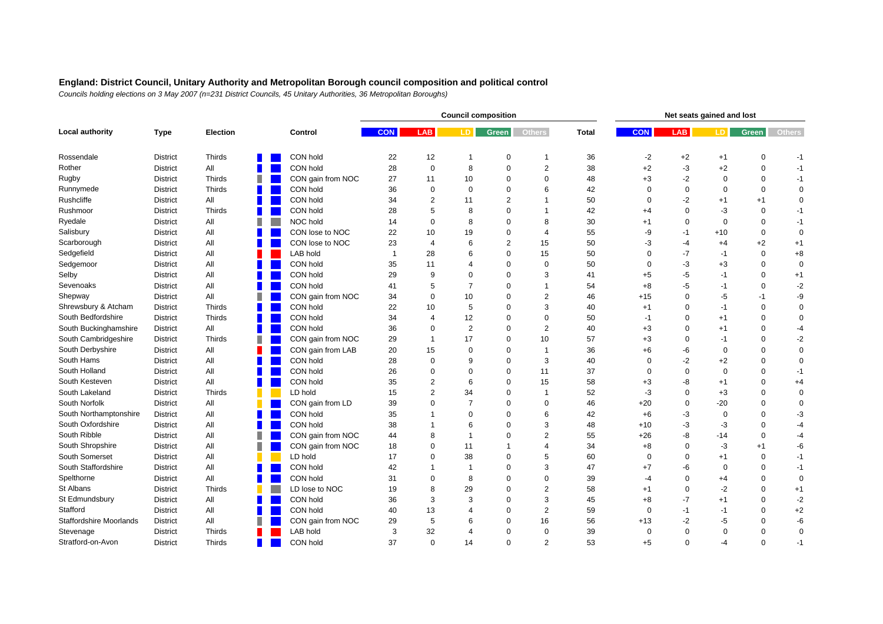|                                |                 |                 |   |                   |              |                | <b>Council composition</b> |                |                          | Net seats gained and lost |            |             |             |             |               |  |
|--------------------------------|-----------------|-----------------|---|-------------------|--------------|----------------|----------------------------|----------------|--------------------------|---------------------------|------------|-------------|-------------|-------------|---------------|--|
| Local authority                | <b>Type</b>     | <b>Election</b> |   | Control           | <b>CON</b>   | <b>LAB</b>     | LD.                        | <b>Green</b>   | <b>Others</b>            | <b>Total</b>              | <b>CON</b> | LAB         | LD.         | Green       | <b>Others</b> |  |
| Rossendale                     | <b>District</b> | Thirds          |   | CON hold          | 22           | 12             | -1                         | 0              | -1                       | 36                        | $-2$       | $+2$        | $+1$        | 0           | -1            |  |
| Rother                         | District        | All             |   | CON hold          | 28           | 0              | 8                          | 0              | $\overline{2}$           | 38                        | $+2$       | -3          | $+2$        | $\mathbf 0$ | $-1$          |  |
| Rugby                          | <b>District</b> | <b>Thirds</b>   |   | CON gain from NOC | 27           | 11             | 10                         | $\Omega$       | $\Omega$                 | 48                        | $+3$       | $-2$        | $\mathbf 0$ | $\Omega$    | $-1$          |  |
| Runnymede                      | <b>District</b> | <b>Thirds</b>   |   | CON hold          | 36           | $\mathbf 0$    | $\Omega$                   | $\Omega$       | 6                        | 42                        | $\Omega$   | $\Omega$    | $\mathbf 0$ | $\Omega$    | $\mathbf 0$   |  |
| Rushcliffe                     | <b>District</b> | All             |   | CON hold          | 34           | $\overline{2}$ | 11                         | 2              | 1                        | 50                        | $\Omega$   | $-2$        | $+1$        | $+1$        | $\mathbf 0$   |  |
| Rushmoor                       | <b>District</b> | <b>Thirds</b>   |   | CON hold          | 28           | 5              | 8                          | $\Omega$       | 1                        | 42                        | $+4$       | $\mathbf 0$ | -3          | $\mathbf 0$ | $-1$          |  |
| Ryedale                        | <b>District</b> | All             |   | NOC hold          | 14           | $\Omega$       | 8                          | $\Omega$       | 8                        | 30                        | $+1$       | $\mathbf 0$ | $\mathbf 0$ | $\mathbf 0$ | $-1$          |  |
| Salisbury                      | <b>District</b> | All             |   | CON lose to NOC   | 22           | 10             | 19                         | $\Omega$       | $\overline{\mathcal{A}}$ | 55                        | -9         | $-1$        | $+10$       | $\mathbf 0$ | $\mathbf 0$   |  |
| Scarborough                    | <b>District</b> | All             |   | CON lose to NOC   | 23           | $\overline{4}$ | 6                          | $\overline{2}$ | 15                       | 50                        | -3         | $-4$        | $+4$        | $+2$        | $+1$          |  |
| Sedgefield                     | <b>District</b> | All             |   | LAB hold          | $\mathbf{1}$ | 28             | 6                          | $\Omega$       | 15                       | 50                        | $\Omega$   | $-7$        | $-1$        | $\mathbf 0$ | $+8$          |  |
| Sedgemoor                      | <b>District</b> | All             |   | CON hold          | 35           | 11             | Δ                          | $\Omega$       | $\mathbf 0$              | 50                        | $\Omega$   | -3          | $+3$        | $\Omega$    | $\mathbf 0$   |  |
| Selby                          | <b>District</b> | All             |   | CON hold          | 29           | 9              | $\Omega$                   | $\mathbf 0$    | 3                        | 41                        | $+5$       | $-5$        | $-1$        | $\Omega$    | $+1$          |  |
| Sevenoaks                      | <b>District</b> | All             |   | CON hold          | 41           | 5              | $\overline{7}$             | $\Omega$       | 1                        | 54                        | $+8$       | -5          | $-1$        | $\mathbf 0$ | $-2$          |  |
| Shepway                        | <b>District</b> | All             |   | CON gain from NOC | 34           | $\Omega$       | 10                         | $\Omega$       | $\overline{c}$           | 46                        | $+15$      | $\Omega$    | $-5$        | $-1$        | -9            |  |
| Shrewsbury & Atcham            | <b>District</b> | Thirds          |   | CON hold          | 22           | 10             | 5                          | $\Omega$       | 3                        | 40                        | $+1$       | $\Omega$    | $-1$        | $\Omega$    | $\mathbf 0$   |  |
| South Bedfordshire             | <b>District</b> | Thirds          |   | CON hold          | 34           | 4              | 12                         | $\Omega$       | $\Omega$                 | 50                        | $-1$       | $\Omega$    | $+1$        | $\Omega$    | 0             |  |
| South Buckinghamshire          | <b>District</b> | All             |   | CON hold          | 36           | $\Omega$       | 2                          | $\Omega$       | 2                        | 40                        | $+3$       | $\Omega$    | $+1$        | $\Omega$    | -4            |  |
| South Cambridgeshire           | <b>District</b> | <b>Thirds</b>   |   | CON gain from NOC | 29           |                | 17                         | $\Omega$       | 10                       | 57                        | $+3$       | $\Omega$    | $-1$        | $\Omega$    | $-2$          |  |
| South Derbyshire               | <b>District</b> | All             |   | CON gain from LAB | 20           | 15             | $\Omega$                   | $\Omega$       | $\overline{1}$           | 36                        | $+6$       | -6          | $\mathbf 0$ | $\Omega$    | $\mathbf 0$   |  |
| South Hams                     | <b>District</b> | All             |   | CON hold          | 28           | $\Omega$       | 9                          | $\Omega$       | 3                        | 40                        | $\Omega$   | $-2$        | $+2$        | $\Omega$    | $\mathbf 0$   |  |
| South Holland                  | <b>District</b> | All             |   | CON hold          | 26           | $\Omega$       | $\Omega$                   | $\mathbf 0$    | 11                       | 37                        | $\Omega$   | $\mathbf 0$ | $\mathbf 0$ | $\Omega$    | $-1$          |  |
| South Kesteven                 | <b>District</b> | All             |   | CON hold          | 35           | $\overline{2}$ | 6                          | $\Omega$       | 15                       | 58                        | $+3$       | -8          | $+1$        | $\Omega$    | $+4$          |  |
| South Lakeland                 | <b>District</b> | <b>Thirds</b>   |   | LD hold           | 15           | $\overline{2}$ | 34                         | $\Omega$       | 1                        | 52                        | -3         | $\mathbf 0$ | $+3$        | $\Omega$    | $\mathbf 0$   |  |
| South Norfolk                  | <b>District</b> | All             |   | CON gain from LD  | 39           | 0              | $\overline{7}$             | $\mathbf 0$    | $\mathbf 0$              | 46                        | $+20$      | $\mathbf 0$ | $-20$       | $\Omega$    | $\mathbf 0$   |  |
| South Northamptonshire         | <b>District</b> | All             |   | CON hold          | 35           |                | $\Omega$                   | $\Omega$       | 6                        | 42                        | $+6$       | -3          | $\mathbf 0$ | $\Omega$    | -3            |  |
| South Oxfordshire              | <b>District</b> | All             |   | CON hold          | 38           |                | 6                          | $\Omega$       | 3                        | 48                        | $+10$      | -3          | -3          | $\Omega$    | -4            |  |
| South Ribble                   | <b>District</b> | All             | ш | CON gain from NOC | 44           | 8              | -1                         | $\Omega$       | $\overline{2}$           | 55                        | $+26$      | -8          | -14         | $\Omega$    | -4            |  |
| South Shropshire               | <b>District</b> | All             | ٠ | CON gain from NOC | 18           | $\Omega$       | 11                         | 1              | 4                        | 34                        | $+8$       | $\mathbf 0$ | -3          | $+1$        | -6            |  |
| South Somerset                 | <b>District</b> | All             |   | LD hold           | 17           | $\Omega$       | 38                         | $\Omega$       | 5                        | 60                        | $\Omega$   | $\mathbf 0$ | $+1$        | $\mathbf 0$ | $-1$          |  |
| South Staffordshire            | <b>District</b> | All             |   | CON hold          | 42           |                | $\mathbf 1$                | 0              | 3                        | 47                        | $+7$       | -6          | $\mathbf 0$ | $\mathbf 0$ | $-1$          |  |
| Spelthorne                     | <b>District</b> | All             |   | CON hold          | 31           | $\Omega$       | 8                          | $\Omega$       | $\Omega$                 | 39                        | -4         | $\Omega$    | $+4$        | $\Omega$    | $\mathbf 0$   |  |
| St Albans                      | <b>District</b> | <b>Thirds</b>   |   | LD lose to NOC    | 19           | 8              | 29                         | $\Omega$       | $\overline{2}$           | 58                        | $+1$       | $\mathbf 0$ | $-2$        | $\Omega$    | $+1$          |  |
| St Edmundsbury                 | <b>District</b> | All             |   | CON hold          | 36           | 3              | 3                          | $\Omega$       | 3                        | 45                        | $+8$       | $-7$        | $+1$        | $\Omega$    | $-2$          |  |
| Stafford                       | <b>District</b> | All             |   | CON hold          | 40           | 13             | $\Delta$                   | $\Omega$       | 2                        | 59                        | $\Omega$   | $-1$        | $-1$        | $\Omega$    | $+2$          |  |
| <b>Staffordshire Moorlands</b> | <b>District</b> | All             |   | CON gain from NOC | 29           | 5              | 6                          | $\Omega$       | 16                       | 56                        | $+13$      | $-2$        | $-5$        | $\Omega$    | -6            |  |
| Stevenage                      | <b>District</b> | Thirds          |   | LAB hold          | 3            | 32             | 4                          | $\Omega$       | $\Omega$                 | 39                        | $\Omega$   | $\Omega$    | $\mathbf 0$ | $\Omega$    | $\mathbf 0$   |  |
| Stratford-on-Avon              | <b>District</b> | Thirds          |   | CON hold          | 37           | $\Omega$       | 14                         | $\Omega$       | $\overline{2}$           | 53                        | $+5$       | $\Omega$    | $-4$        | $\Omega$    | $-1$          |  |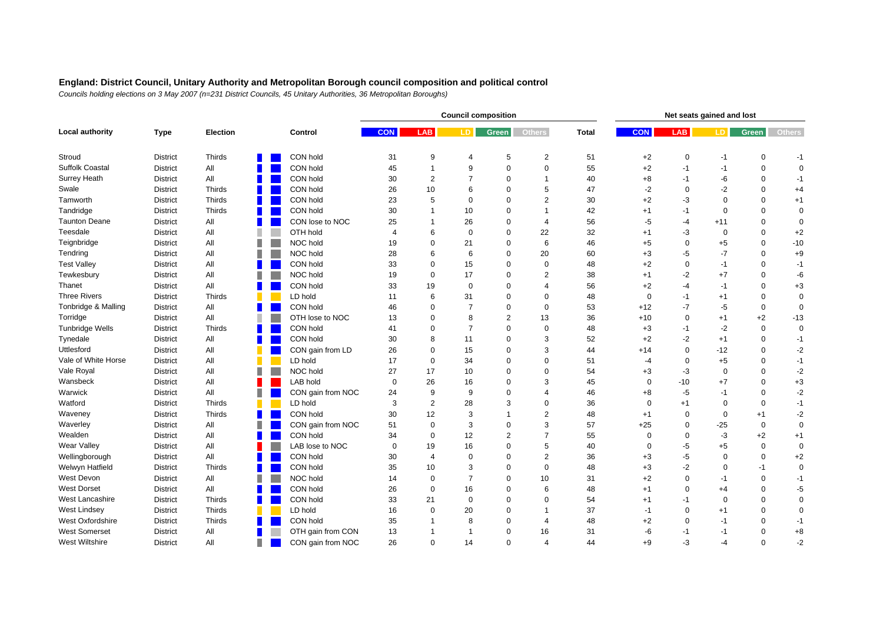|                        |                 |                 |   |                   |                |                | <b>Council composition</b> |                | Net seats gained and lost |              |             |              |             |             |               |
|------------------------|-----------------|-----------------|---|-------------------|----------------|----------------|----------------------------|----------------|---------------------------|--------------|-------------|--------------|-------------|-------------|---------------|
| Local authority        | <b>Type</b>     | <b>Election</b> |   | Control           | <b>CON</b>     | <b>LAB</b>     | LD.                        | <b>Green</b>   | <b>Others</b>             | <b>Total</b> | <b>CON</b>  | <b>LAB</b>   | LD.         | Green       | <b>Others</b> |
| Stroud                 | <b>District</b> | Thirds          |   | CON hold          | 31             | 9              | 4                          | 5              | 2                         | 51           | $+2$        | $\mathbf 0$  | -1          | 0           | $-1$          |
| Suffolk Coastal        | <b>District</b> | All             |   | CON hold          | 45             | 1              | 9                          | 0              | $\pmb{0}$                 | 55           | $+2$        | $-1$         | $-1$        | $\mathbf 0$ | $\mathbf 0$   |
| Surrey Heath           | <b>District</b> | All             |   | CON hold          | 30             | 2              | $\overline{7}$             | $\Omega$       | 1                         | 40           | $+8$        | $-1$         | -6          | $\Omega$    | $-1$          |
| Swale                  | <b>District</b> | <b>Thirds</b>   |   | CON hold          | 26             | 10             | 6                          | $\Omega$       | 5                         | 47           | $-2$        | $\Omega$     | $-2$        | $\Omega$    | $+4$          |
| Tamworth               | <b>District</b> | <b>Thirds</b>   |   | CON hold          | 23             | 5              | $\Omega$                   | $\Omega$       | $\overline{2}$            | 30           | $+2$        | -3           | $\mathbf 0$ | $\Omega$    | $+1$          |
| Tandridge              | <b>District</b> | Thirds          |   | CON hold          | 30             |                | 10                         | $\Omega$       | 1                         | 42           | $+1$        | $-1$         | $\mathbf 0$ | $\mathbf 0$ | $\mathbf 0$   |
| <b>Taunton Deane</b>   | <b>District</b> | All             |   | CON lose to NOC   | 25             |                | 26                         | $\Omega$       | $\overline{4}$            | 56           | $-5$        | $-4$         | $+11$       | $\mathbf 0$ | $\mathbf 0$   |
| Teesdale               | <b>District</b> | All             |   | OTH hold          | $\overline{4}$ | 6              | $\mathbf 0$                | $\Omega$       | 22                        | 32           | $+1$        | -3           | $\pmb{0}$   | $\Omega$    | $+2$          |
| Teignbridge            | <b>District</b> | All             | П | NOC hold          | 19             | $\Omega$       | 21                         | $\mathbf 0$    | 6                         | 46           | $+5$        | $\mathbf 0$  | $+5$        | $\Omega$    | $-10$         |
| Tendring               | <b>District</b> | All             |   | NOC hold          | 28             | 6              | 6                          | $\Omega$       | 20                        | 60           | $+3$        | -5           | $-7$        | $\mathbf 0$ | $+9$          |
| <b>Test Valley</b>     | <b>District</b> | All             |   | CON hold          | 33             | $\Omega$       | 15                         | $\Omega$       | $\mathbf 0$               | 48           | $+2$        | $\mathbf 0$  | $-1$        | $\Omega$    | $-1$          |
| Tewkesbury             | <b>District</b> | All             |   | NOC hold          | 19             | 0              | 17                         | $\mathbf 0$    | $\overline{2}$            | 38           | $+1$        | $-2$         | $+7$        | $\mathbf 0$ | -6            |
| Thanet                 | <b>District</b> | All             |   | CON hold          | 33             | 19             | $\mathbf 0$                | $\mathbf 0$    | 4                         | 56           | $+2$        | $-4$         | $-1$        | $\mathbf 0$ | $+3$          |
| <b>Three Rivers</b>    | <b>District</b> | Thirds          |   | LD hold           | 11             | 6              | 31                         | $\Omega$       | 0                         | 48           | 0           | -1           | $+1$        | $\mathbf 0$ | $\mathbf 0$   |
| Tonbridge & Malling    | <b>District</b> | All             |   | CON hold          | 46             | 0              | $\overline{7}$             | $\mathbf 0$    | $\mathbf 0$               | 53           | $+12$       | $-7$         | $-5$        | $\mathbf 0$ | $\mathbf 0$   |
| Torridge               | <b>District</b> | All             |   | OTH lose to NOC   | 13             | 0              | 8                          | 2              | 13                        | 36           | $+10$       | $\mathbf{0}$ | $+1$        | $+2$        | $-13$         |
| <b>Tunbridge Wells</b> | <b>District</b> | <b>Thirds</b>   |   | CON hold          | 41             | 0              | $\overline{7}$             | $\Omega$       | $\mathbf 0$               | 48           | $+3$        | -1           | $-2$        | $\mathbf 0$ | $\mathbf 0$   |
| Tynedale               | <b>District</b> | All             |   | CON hold          | 30             | 8              | 11                         | $\Omega$       | 3                         | 52           | $+2$        | $-2$         | $+1$        | $\Omega$    | $-1$          |
| Uttlesford             | <b>District</b> | All             |   | CON gain from LD  | 26             | $\Omega$       | 15                         | $\Omega$       | 3                         | 44           | $+14$       | $\mathbf 0$  | $-12$       | $\Omega$    | $-2$          |
| Vale of White Horse    | <b>District</b> | All             |   | LD hold           | 17             | $\Omega$       | 34                         | $\Omega$       | $\Omega$                  | 51           | -4          | $\mathbf 0$  | $+5$        | $\Omega$    | $-1$          |
| Vale Royal             | <b>District</b> | All             | Ш | NOC hold          | 27             | 17             | 10                         | $\mathbf 0$    | $\Omega$                  | 54           | $+3$        | -3           | $\mathbf 0$ | $\Omega$    | $-2$          |
| Wansbeck               | <b>District</b> | All             |   | <b>LAB hold</b>   | $\mathbf 0$    | 26             | 16                         | $\Omega$       | 3                         | 45           | $\mathbf 0$ | $-10$        | $+7$        | $\mathbf 0$ | $^{\rm +3}$   |
| Warwick                | <b>District</b> | All             |   | CON gain from NOC | 24             | 9              | 9                          | $\Omega$       | 4                         | 46           | $+8$        | $-5$         | $-1$        | $\Omega$    | $-2$          |
| Watford                | <b>District</b> | Thirds          |   | LD hold           | 3              | 2              | 28                         | 3              | $\mathbf 0$               | 36           | $\mathbf 0$ | $+1$         | 0           | $\mathbf 0$ | $-1$          |
| Waveney                | <b>District</b> | Thirds          |   | CON hold          | 30             | 12             | 3                          | 1              | $\overline{2}$            | 48           | $+1$        | $\mathbf 0$  | $\pmb{0}$   | $+1$        | $-2$          |
| Waverley               | <b>District</b> | All             |   | CON gain from NOC | 51             | $\mathbf 0$    | 3                          | $\Omega$       | 3                         | 57           | $+25$       | $\mathbf 0$  | $-25$       | $\mathbf 0$ | $\mathbf 0$   |
| Wealden                | <b>District</b> | All             |   | CON hold          | 34             | 0              | 12                         | $\overline{2}$ | $\overline{7}$            | 55           | $\Omega$    | $\Omega$     | $-3$        | $+2$        | $+1$          |
| Wear Valley            | <b>District</b> | All             |   | LAB lose to NOC   | $\mathbf 0$    | 19             | 16                         | $\Omega$       | 5                         | 40           | $\Omega$    | -5           | $+5$        | 0           | $\mathbf 0$   |
| Wellingborough         | <b>District</b> | All             |   | CON hold          | 30             | $\overline{4}$ | $\Omega$                   | $\Omega$       | $\overline{2}$            | 36           | $+3$        | -5           | $\mathbf 0$ | $\mathbf 0$ | $+2$          |
| Welwyn Hatfield        | <b>District</b> | <b>Thirds</b>   |   | CON hold          | 35             | 10             | 3                          | $\mathbf 0$    | $\mathbf{0}$              | 48           | $+3$        | $-2$         | $\mathbf 0$ | $-1$        | $\mathbf 0$   |
| West Devon             | <b>District</b> | All             |   | NOC hold          | 14             | $\Omega$       | $\overline{7}$             | $\Omega$       | 10                        | 31           | $+2$        | $\mathbf 0$  | $-1$        | $\Omega$    | $-1$          |
| <b>West Dorset</b>     | <b>District</b> | All             |   | CON hold          | 26             | $\Omega$       | 16                         | $\Omega$       | 6                         | 48           | $+1$        | $\mathbf 0$  | $+4$        | $\Omega$    | $-5$          |
| <b>West Lancashire</b> | <b>District</b> | Thirds          |   | CON hold          | 33             | 21             | $\Omega$                   | $\Omega$       | $\Omega$                  | 54           | $+1$        | $-1$         | $\mathbf 0$ | $\Omega$    | $\mathbf 0$   |
| <b>West Lindsey</b>    | <b>District</b> | Thirds          |   | LD hold           | 16             | $\Omega$       | 20                         | $\Omega$       | 1                         | 37           | $-1$        | $\mathbf 0$  | $+1$        | $\Omega$    | $\mathbf 0$   |
| West Oxfordshire       | <b>District</b> | <b>Thirds</b>   |   | CON hold          | 35             |                | 8                          | $\Omega$       | $\overline{\mathcal{A}}$  | 48           | $+2$        | $\Omega$     | $-1$        | $\Omega$    | $-1$          |
| <b>West Somerset</b>   | <b>District</b> | All             |   | OTH gain from CON | 13             |                | $\overline{1}$             | $\mathbf 0$    | 16                        | 31           | -6          | -1           | $-1$        | $\Omega$    | $+8$          |
| <b>West Wiltshire</b>  | <b>District</b> | All             |   | CON gain from NOC | 26             | $\Omega$       | 14                         | $\Omega$       | $\overline{4}$            | 44           | $+9$        | $-3$         | $-4$        | $\Omega$    | $-2$          |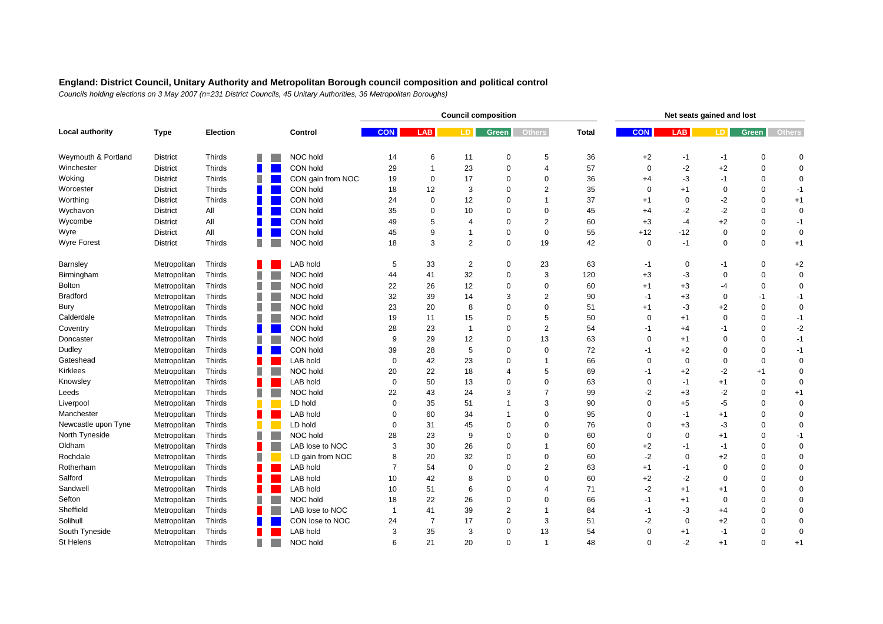|                     |                 |               |   |                |                   |                |                | <b>Council composition</b> |                |                | Net seats gained and lost |             |             |             |             |               |  |
|---------------------|-----------------|---------------|---|----------------|-------------------|----------------|----------------|----------------------------|----------------|----------------|---------------------------|-------------|-------------|-------------|-------------|---------------|--|
| Local authority     | <b>Type</b>     | Election      |   |                | Control           | <b>CON</b>     | <b>LAB</b>     | LD.                        | Green          | <b>Others</b>  | <b>Total</b>              | <b>CON</b>  | <b>LAB</b>  | LD.         | Green       | <b>Others</b> |  |
| Weymouth & Portland | <b>District</b> | Thirds        |   |                | NOC hold          | 14             | 6              | 11                         | 0              | 5              | 36                        | $+2$        | -1          | -1          | 0           | $\mathbf 0$   |  |
| Winchester          | <b>District</b> | <b>Thirds</b> |   |                | CON hold          | 29             | $\mathbf 1$    | 23                         | $\mathbf 0$    | 4              | 57                        | $\mathbf 0$ | $-2$        | $+2$        | $\mathbf 0$ | $\mathbf 0$   |  |
| Woking              | <b>District</b> | Thirds        |   |                | CON gain from NOC | 19             | $\mathbf 0$    | 17                         | $\Omega$       | $\Omega$       | 36                        | $+4$        | -3          | $-1$        | $\Omega$    | $\mathbf 0$   |  |
| Worcester           | <b>District</b> | <b>Thirds</b> |   |                | CON hold          | 18             | 12             | 3                          | $\mathbf 0$    | $\overline{2}$ | 35                        | $\mathbf 0$ | $+1$        | $\mathbf 0$ | $\Omega$    | $-1$          |  |
| Worthing            | <b>District</b> | <b>Thirds</b> |   |                | CON hold          | 24             | $\mathbf 0$    | 12                         | $\Omega$       | 1              | 37                        | $+1$        | $\mathbf 0$ | $-2$        | $\Omega$    | $+1$          |  |
| Wychavon            | <b>District</b> | All           |   |                | CON hold          | 35             | $\Omega$       | 10                         | $\Omega$       | $\mathbf 0$    | 45                        | $+4$        | $-2$        | $-2$        | $\Omega$    | $\mathbf 0$   |  |
| Wycombe             | <b>District</b> | All           |   |                | CON hold          | 49             | 5              | 4                          | $\Omega$       | 2              | 60                        | $+3$        | $-4$        | $+2$        | $\Omega$    | $-1$          |  |
| Wyre                | <b>District</b> | All           |   |                | CON hold          | 45             | 9              | 1                          | $\mathbf 0$    | $\mathbf 0$    | 55                        | $+12$       | $-12$       | $\pmb{0}$   | $\mathbf 0$ | $\mathbf 0$   |  |
| <b>Wyre Forest</b>  | <b>District</b> | Thirds        |   |                | NOC hold          | 18             | 3              | $\overline{2}$             | $\Omega$       | 19             | 42                        | $\mathbf 0$ | $-1$        | $\mathbf 0$ | $\mathbf 0$ | $+1$          |  |
| Barnsley            | Metropolitan    | Thirds        |   |                | <b>LAB hold</b>   | 5              | 33             | $\overline{c}$             | 0              | 23             | 63                        | -1          | 0           | $-1$        | 0           | $+2$          |  |
| Birmingham          | Metropolitan    | Thirds        |   |                | NOC hold          | 44             | 41             | 32                         | $\mathbf 0$    | 3              | 120                       | $+3$        | -3          | $\mathbf 0$ | $\mathbf 0$ | $\mathbf 0$   |  |
| <b>Bolton</b>       | Metropolitan    | Thirds        |   |                | NOC hold          | 22             | 26             | 12                         | $\mathbf 0$    | 0              | 60                        | $+1$        | $+3$        | $-4$        | $\mathbf 0$ | $\mathbf 0$   |  |
| <b>Bradford</b>     | Metropolitan    | Thirds        |   |                | NOC hold          | 32             | 39             | 14                         | 3              | $\overline{2}$ | 90                        | -1          | $+3$        | $\mathbf 0$ | $-1$        | $-1$          |  |
| Bury                | Metropolitan    | Thirds        |   |                | NOC hold          | 23             | 20             | 8                          | $\mathbf 0$    | 0              | 51                        | $+1$        | -3          | $+2$        | $\mathbf 0$ | $\mathbf 0$   |  |
| Calderdale          | Metropolitan    | Thirds        |   |                | NOC hold          | 19             | 11             | 15                         | $\Omega$       | 5              | 50                        | 0           | $+1$        | $\mathbf 0$ | $\Omega$    | $-1$          |  |
| Coventry            | Metropolitan    | Thirds        | П |                | CON hold          | 28             | 23             | $\overline{1}$             | $\Omega$       | $\overline{2}$ | 54                        | $-1$        | $+4$        | $-1$        | $\Omega$    | $-2$          |  |
| Doncaster           | Metropolitan    | Thirds        |   |                | NOC hold          | 9              | 29             | 12                         | $\Omega$       | 13             | 63                        | $\Omega$    | $+1$        | $\mathbf 0$ | $\Omega$    | $-1$          |  |
| Dudley              | Metropolitan    | Thirds        |   |                | CON hold          | 39             | 28             | 5                          | $\Omega$       | $\mathbf 0$    | 72                        | -1          | $+2$        | $\mathbf 0$ | $\Omega$    | $-1$          |  |
| Gateshead           | Metropolitan    | Thirds        |   |                | LAB hold          | $\mathbf 0$    | 42             | 23                         | $\Omega$       | 1              | 66                        | $\Omega$    | $\mathbf 0$ | $\pmb{0}$   | $\Omega$    | $\mathbf 0$   |  |
| <b>Kirklees</b>     | Metropolitan    | Thirds        |   |                | NOC hold          | 20             | 22             | 18                         | $\overline{4}$ | 5              | 69                        | -1          | $+2$        | $-2$        | $+1$        | $\mathbf 0$   |  |
| Knowsley            | Metropolitan    | Thirds        |   |                | LAB hold          | $\mathbf 0$    | 50             | 13                         | $\Omega$       | $\Omega$       | 63                        | $\mathbf 0$ | $-1$        | $+1$        | $\mathbf 0$ | $\mathbf 0$   |  |
| Leeds               | Metropolitan    | Thirds        |   |                | NOC hold          | 22             | 43             | 24                         | 3              | 7              | 99                        | -2          | $+3$        | $-2$        | $\Omega$    | $+1$          |  |
| Liverpool           | Metropolitan    | Thirds        |   |                | LD hold           | $\mathbf 0$    | 35             | 51                         | $\overline{1}$ | 3              | 90                        | 0           | $+5$        | $-5$        | $\Omega$    | $\mathbf 0$   |  |
| Manchester          | Metropolitan    | Thirds        |   |                | LAB hold          | $\mathbf 0$    | 60             | 34                         | $\mathbf 1$    | $\Omega$       | 95                        | 0           | $-1$        | $+1$        | $\mathbf 0$ | $\mathbf 0$   |  |
| Newcastle upon Tyne | Metropolitan    | Thirds        |   |                | LD hold           | $\mathbf 0$    | 31             | 45                         | $\mathbf 0$    | $\Omega$       | 76                        | $\Omega$    | $+3$        | $-3$        | $\Omega$    | $\mathbf 0$   |  |
| North Tyneside      | Metropolitan    | Thirds        |   |                | NOC hold          | 28             | 23             | 9                          | $\mathbf 0$    | $\Omega$       | 60                        | $\mathbf 0$ | $\Omega$    | $+1$        | $\Omega$    | $-1$          |  |
| Oldham              | Metropolitan    | Thirds        |   |                | LAB lose to NOC   | 3              | 30             | 26                         | $\Omega$       | 1              | 60                        | $+2$        | -1          | $-1$        | $\mathbf 0$ | $\mathbf 0$   |  |
| Rochdale            | Metropolitan    | Thirds        |   |                | LD gain from NOC  | 8              | 20             | 32                         | $\mathbf 0$    | $\mathbf 0$    | 60                        | $-2$        | $\mathbf 0$ | $+2$        | $\Omega$    | $\mathbf 0$   |  |
| Rotherham           | Metropolitan    | Thirds        |   |                | LAB hold          | $\overline{7}$ | 54             | $\Omega$                   | $\Omega$       | 2              | 63                        | $+1$        | $-1$        | 0           | $\Omega$    | $\mathbf 0$   |  |
| Salford             | Metropolitan    | Thirds        |   |                | LAB hold          | 10             | 42             | 8                          | $\Omega$       | $\mathbf 0$    | 60                        | $+2$        | $-2$        | $\mathbf 0$ | $\Omega$    | $\mathbf 0$   |  |
| Sandwell            | Metropolitan    | Thirds        |   |                | LAB hold          | 10             | 51             | 6                          | $\Omega$       | $\overline{4}$ | 71                        | $-2$        | $+1$        | $+1$        | $\Omega$    | $\Omega$      |  |
| Sefton              | Metropolitan    | Thirds        |   |                | NOC hold          | 18             | 22             | 26                         | $\Omega$       | $\Omega$       | 66                        | $-1$        | $+1$        | $\mathbf 0$ | $\Omega$    | $\mathbf 0$   |  |
| Sheffield           | Metropolitan    | Thirds        |   |                | LAB lose to NOC   | $\overline{1}$ | 41             | 39                         | $\overline{2}$ | $\mathbf 1$    | 84                        | $-1$        | -3          | $+4$        | $\mathbf 0$ | $\mathbf 0$   |  |
| Solihull            | Metropolitan    | Thirds        |   |                | CON lose to NOC   | 24             | $\overline{7}$ | 17                         | $\Omega$       | 3              | 51                        | -2          | $\Omega$    | $+2$        | $\Omega$    | $\mathbf 0$   |  |
| South Tyneside      | Metropolitan    | Thirds        |   |                | LAB hold          | 3              | 35             | 3                          | $\mathbf 0$    | 13             | 54                        | 0           | $+1$        | $-1$        | $\Omega$    | $\mathbf 0$   |  |
| St Helens           | Metropolitan    | Thirds        |   | <b>College</b> | NOC hold          | 6              | 21             | 20                         | $\Omega$       | $\overline{1}$ | 48                        | $\Omega$    | $-2$        | $+1$        | $\Omega$    | $+1$          |  |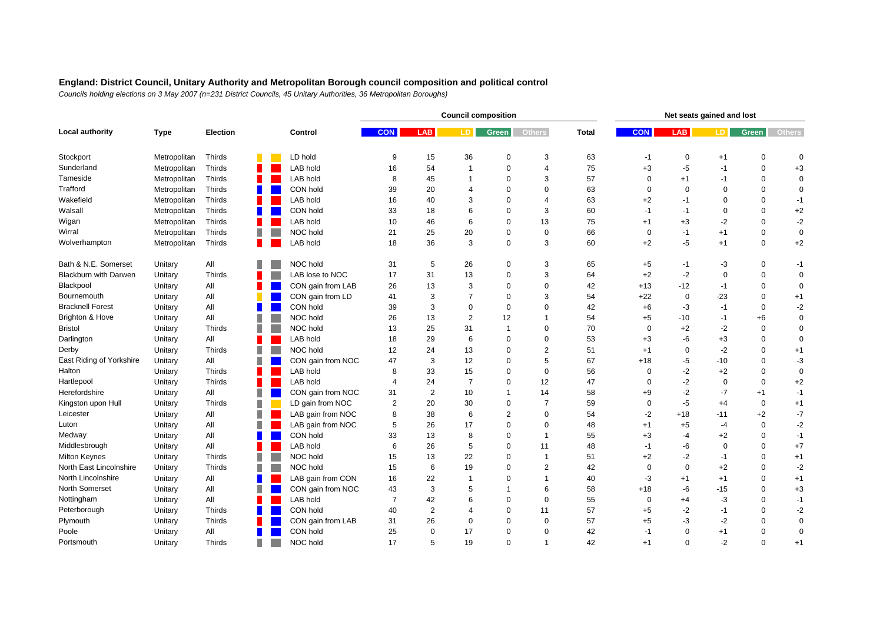|                          |              |                 |   |                   |                |             | <b>Council composition</b> |                | Net seats gained and lost |              |             |             |             |             |               |
|--------------------------|--------------|-----------------|---|-------------------|----------------|-------------|----------------------------|----------------|---------------------------|--------------|-------------|-------------|-------------|-------------|---------------|
| <b>Local authority</b>   | <b>Type</b>  | <b>Election</b> |   | Control           | <b>CON</b>     | LAB         | LD.                        | <b>Green</b>   | <b>Others</b>             | <b>Total</b> | <b>CON</b>  | <b>LAB</b>  | LD.         | Green       | <b>Others</b> |
| Stockport                | Metropolitan | Thirds          |   | LD hold           | 9              | 15          | 36                         | $\mathbf 0$    | 3                         | 63           | $-1$        | 0           | $+1$        | $\mathbf 0$ | $\mathbf 0$   |
| Sunderland               | Metropolitan | Thirds          |   | LAB hold          | 16             | 54          | $\overline{1}$             | $\mathbf 0$    | $\overline{4}$            | 75           | $+3$        | $-5$        | $-1$        | $\mathbf 0$ | $+3$          |
| Tameside                 | Metropolitan | Thirds          |   | LAB hold          | 8              | 45          | 1                          | $\mathbf 0$    | 3                         | 57           | 0           | $+1$        | $-1$        | 0           | 0             |
| Trafford                 | Metropolitan | Thirds          | Ш | CON hold          | 39             | 20          | 4                          | $\Omega$       | $\Omega$                  | 63           | $\mathbf 0$ | $\mathbf 0$ | 0           | $\Omega$    | 0             |
| Wakefield                | Metropolitan | Thirds          |   | LAB hold          | 16             | 40          | 3                          | $\Omega$       | 4                         | 63           | $+2$        | -1          | $\mathbf 0$ | $\Omega$    | $-1$          |
| Walsall                  | Metropolitan | Thirds          |   | CON hold          | 33             | 18          | 6                          | $\mathbf 0$    | 3                         | 60           | $-1$        | $-1$        | $\mathbf 0$ | 0           | $+2$          |
| Wigan                    | Metropolitan | Thirds          |   | LAB hold          | 10             | 46          | 6                          | $\Omega$       | 13                        | 75           | $+1$        | $+3$        | $-2$        | 0           | $-2$          |
| Wirral                   | Metropolitan | Thirds          | ш | NOC hold          | 21             | 25          | 20                         | $\Omega$       | $\Omega$                  | 66           | $\mathbf 0$ | $-1$        | $+1$        | $\mathbf 0$ | $\mathbf 0$   |
| Wolverhampton            | Metropolitan | Thirds          |   | LAB hold          | 18             | 36          | 3                          | $\Omega$       | 3                         | 60           | $+2$        | $-5$        | $+1$        | $\mathbf 0$ | $+2$          |
| Bath & N.E. Somerset     | Unitary      | All             | П | NOC hold          | 31             | 5           | 26                         | $\mathbf 0$    | 3                         | 65           | $+5$        | $-1$        | -3          | $\mathbf 0$ | $-1$          |
| Blackburn with Darwen    | Unitary      | Thirds          |   | LAB lose to NOC   | 17             | 31          | 13                         | $\mathbf 0$    | 3                         | 64           | $+2$        | $-2$        | $\mathbf 0$ | $\mathbf 0$ | $\mathbf 0$   |
| Blackpool                | Unitary      | All             |   | CON gain from LAB | 26             | 13          | 3                          | $\mathbf 0$    | $\Omega$                  | 42           | $+13$       | $-12$       | $-1$        | $\Omega$    | $\mathbf 0$   |
| Bournemouth              | Unitary      | All             |   | CON gain from LD  | 41             | 3           | $\overline{7}$             | $\Omega$       | 3                         | 54           | $+22$       | $\mathbf 0$ | $-23$       | $\Omega$    | $+1$          |
| <b>Bracknell Forest</b>  | Unitary      | All             | Ш | CON hold          | 39             | 3           | $\Omega$                   | $\mathbf 0$    | $\Omega$                  | 42           | $+6$        | -3          | $-1$        | $\Omega$    | $-2$          |
| Brighton & Hove          | Unitary      | All             | П | NOC hold          | 26             | 13          | $\overline{2}$             | 12             |                           | 54           | $+5$        | $-10$       | $-1$        | $+6$        | $\mathbf 0$   |
| <b>Bristol</b>           | Unitary      | Thirds          | ш | NOC hold          | 13             | 25          | 31                         | $\mathbf{1}$   | $\Omega$                  | 70           | $\Omega$    | $+2$        | $-2$        | $\mathbf 0$ | $\mathbf 0$   |
| Darlington               | Unitary      | All             |   | LAB hold          | 18             | 29          | 6                          | $\mathbf 0$    | $\Omega$                  | 53           | $+3$        | -6          | $+3$        | $\Omega$    | $\mathbf 0$   |
| Derby                    | Unitary      | Thirds          | ш | NOC hold          | 12             | 24          | 13                         | $\Omega$       | $\overline{2}$            | 51           | $+1$        | $\mathbf 0$ | $-2$        | $\mathbf 0$ | $+1$          |
| East Riding of Yorkshire | Unitary      | All             | П | CON gain from NOC | 47             | 3           | 12                         | $\mathbf 0$    | 5                         | 67           | $+18$       | $-5$        | $-10$       | $\Omega$    | $-3$          |
| Halton                   | Unitary      | Thirds          | ٠ | LAB hold          | 8              | 33          | 15                         | $\Omega$       | $\mathbf 0$               | 56           | $\mathbf 0$ | $-2$        | $+2$        | $\Omega$    | $\mathbf 0$   |
| Hartlepool               | Unitary      | Thirds          | Ш | LAB hold          | 4              | 24          | $\overline{7}$             | $\Omega$       | 12                        | 47           | 0           | $-2$        | $\mathbf 0$ | $\Omega$    | $+2$          |
| Herefordshire            | Unitary      | All             | ш | CON gain from NOC | 31             | 2           | 10                         | $\mathbf 1$    | 14                        | 58           | $+9$        | $-2$        | $-7$        | $+1$        | $-1$          |
| Kingston upon Hull       | Unitary      | Thirds          | ш | LD gain from NOC  | $\overline{2}$ | 20          | 30                         | $\mathbf 0$    | $\overline{7}$            | 59           | $\mathbf 0$ | $-5$        | $+4$        | $\mathbf 0$ | $+1$          |
| Leicester                | Unitary      | All             | ш | LAB gain from NOC | 8              | 38          | 6                          | $\overline{2}$ | $\Omega$                  | 54           | $-2$        | $+18$       | $-11$       | $+2$        | $-7$          |
| Luton                    | Unitary      | All             | П | LAB gain from NOC | 5              | 26          | 17                         | $\mathbf 0$    | $\Omega$                  | 48           | $+1$        | $+5$        | $-4$        | 0           | $-2$          |
| Medway                   | Unitary      | All             | Ш | CON hold          | 33             | 13          | 8                          | $\Omega$       | -1                        | 55           | $+3$        | $-4$        | $+2$        | $\Omega$    | $-1$          |
| Middlesbrough            | Unitary      | All             |   | <b>LAB hold</b>   | 6              | 26          | 5                          | $\Omega$       | 11                        | 48           | -1          | -6          | $\mathbf 0$ | $\Omega$    | $+7$          |
| <b>Milton Keynes</b>     | Unitary      | Thirds          | ш | NOC hold          | 15             | 13          | 22                         | $\mathbf 0$    | $\overline{1}$            | 51           | $+2$        | $-2$        | $-1$        | $\mathbf 0$ | $+1$          |
| North East Lincolnshire  | Unitary      | Thirds          | ш | NOC hold          | 15             | 6           | 19                         | $\Omega$       | $\overline{2}$            | 42           | $\Omega$    | $\Omega$    | $+2$        | $\Omega$    | $-2$          |
| North Lincolnshire       | Unitary      | All             |   | LAB gain from CON | 16             | 22          | $\mathbf 1$                | $\Omega$       |                           | 40           | -3          | $+1$        | $+1$        | $\Omega$    | $+1$          |
| North Somerset           | Unitary      | All             | Ш | CON gain from NOC | 43             | 3           | 5                          | $\mathbf{1}$   | 6                         | 58           | $+18$       | $-6$        | $-15$       | $\Omega$    | $+3$          |
| Nottingham               | Unitary      | All             | ٠ | <b>LAB hold</b>   | $\overline{7}$ | 42          | 6                          | $\Omega$       | $\Omega$                  | 55           | $\mathbf 0$ | $+4$        | $-3$        | $\Omega$    | $-1$          |
| Peterborough             | Unitary      | Thirds          |   | CON hold          | 40             | 2           | 4                          | $\Omega$       | 11                        | 57           | $+5$        | $-2$        | $-1$        | $\Omega$    | $-2$          |
| Plymouth                 | Unitary      | Thirds          |   | CON gain from LAB | 31             | 26          | $\mathbf 0$                | $\mathbf 0$    | $\Omega$                  | 57           | $+5$        | -3          | $-2$        | $\mathbf 0$ | $\mathbf 0$   |
| Poole                    | Unitary      | All             |   | CON hold          | 25             | $\mathbf 0$ | 17                         | $\Omega$       | $\Omega$                  | 42           | $-1$        | $\Omega$    | $+1$        | $\Omega$    | $\mathbf 0$   |
| Portsmouth               | Unitary      | <b>Thirds</b>   | Ш | NOC hold          | 17             | 5           | 19                         | $\Omega$       | 1                         | 42           | $+1$        | $\Omega$    | $-2$        | $\Omega$    | $+1$          |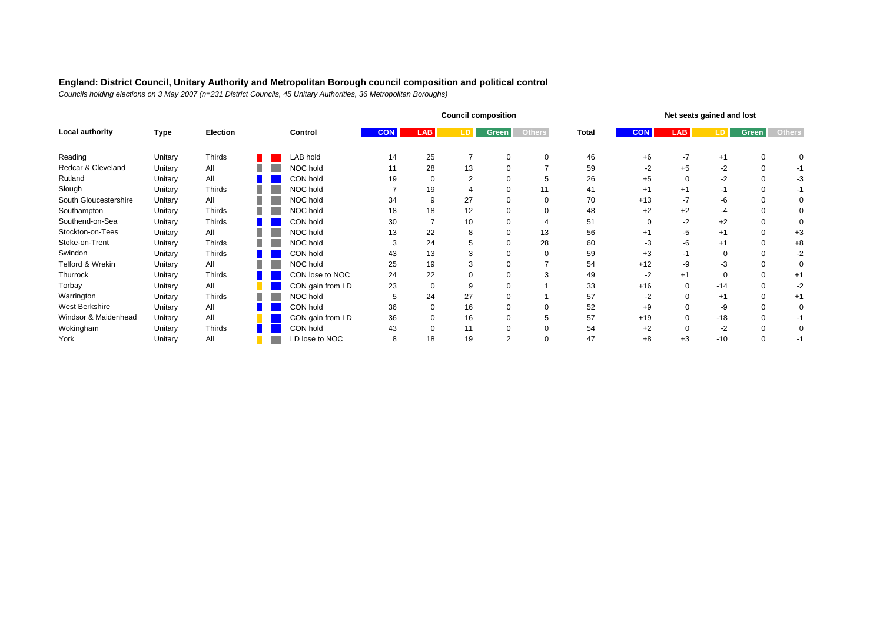|                       |         |                 |         |  |                  | <b>Council composition</b> |          |              |               |              |            |            | Net seats gained and lost |          |               |             |  |  |
|-----------------------|---------|-----------------|---------|--|------------------|----------------------------|----------|--------------|---------------|--------------|------------|------------|---------------------------|----------|---------------|-------------|--|--|
| Local authority       | Type    | <b>Election</b> | Control |  | <b>CON</b>       | <b>LAB</b>                 |          | <b>Green</b> | <b>Others</b> | <b>Total</b> | <b>CON</b> | <b>LAB</b> |                           | Green    | <b>Others</b> |             |  |  |
| Reading               | Unitary | Thirds          |         |  | LAB hold         | 14                         | 25       |              |               | 0            | 46         | $+6$       | $-7$                      | $+1$     |               | O           |  |  |
| Redcar & Cleveland    | Unitary | All             |         |  | NOC hold         | 11                         | 28       | 13           |               |              | 59         | $-2$       | $+5$                      | $-2$     | 0             | -1          |  |  |
| Rutland               | Unitary | All             |         |  | CON hold         | 19                         | 0        |              |               | 5            | 26         | $+5$       | $\Omega$                  | $-2$     |               | -3          |  |  |
| Slough                | Unitary | <b>Thirds</b>   |         |  | NOC hold         |                            | 19       |              |               |              | 41         | $+1$       | $+1$                      | -1       |               | -1          |  |  |
| South Gloucestershire | Unitary | All             |         |  | NOC hold         | 34                         | 9        | 27           |               | 0            | 70         | $+13$      | $-7$                      | -6       |               | $\mathbf 0$ |  |  |
| Southampton           | Unitary | Thirds          |         |  | NOC hold         | 18                         | 18       | 12           |               | $\Omega$     | 48         | $+2$       | $+2$                      | $-4$     |               | 0           |  |  |
| Southend-on-Sea       | Unitary | <b>Thirds</b>   |         |  | CON hold         | 30                         |          | 10           |               |              | 51         |            | $-2$                      | $+2$     |               | $\Omega$    |  |  |
| Stockton-on-Tees      | Unitary | All             |         |  | NOC hold         | 13                         | 22       | 8            | 0             | 13           | 56         | $+1$       | -5                        | $+1$     |               | $+3$        |  |  |
| Stoke-on-Trent        | Unitary | Thirds          |         |  | NOC hold         |                            | 24       |              |               | 28           | 60         | -3         | -6                        | $+1$     |               | $+8$        |  |  |
| Swindon               | Unitary | Thirds          |         |  | CON hold         | 43                         | 13       |              |               | $\Omega$     | 59         | $+3$       | -1                        | $\Omega$ |               | $-2$        |  |  |
| Telford & Wrekin      | Unitary | All             |         |  | NOC hold         | 25                         | 19       |              |               |              | 54         | $+12$      | -9                        | $-3$     |               | $\mathbf 0$ |  |  |
| Thurrock              | Unitary | <b>Thirds</b>   |         |  | CON lose to NOC  | 24                         | 22       |              |               |              | 49         | $-2$       | $+1$                      | $\Omega$ |               | $+1$        |  |  |
| Torbay                | Unitary | All             |         |  | CON gain from LD | 23                         | $\Omega$ |              |               |              | 33         | $+16$      | 0                         | $-14$    |               | -2          |  |  |
| Warrington            | Unitary | Thirds          |         |  | NOC hold         | 5                          | 24       | 27           |               |              | 57         | $-2$       | $\Omega$                  | $+1$     | $\Omega$      | $+1$        |  |  |
| West Berkshire        | Unitary | All             |         |  | CON hold         | 36                         | $\Omega$ | 16           |               | $\Omega$     | 52         | $+9$       | $\Omega$                  | -9       |               | $\mathbf 0$ |  |  |
| Windsor & Maidenhead  | Unitary | All             |         |  | CON gain from LD | 36                         |          | 16           |               | 5            | 57         | $+19$      | 0                         | $-18$    |               | -1          |  |  |
| Wokingham             | Unitary | Thirds          |         |  | CON hold         | 43                         | ი        | 11           |               | $\Omega$     | 54         | $+2$       |                           | $-2$     |               | $\mathbf 0$ |  |  |
| York                  | Unitary | All             |         |  | LD lose to NOC   | 8                          | 18       | 19           | ⌒             | $\Omega$     | 47         | $+8$       | $+3$                      | $-10$    |               | -1          |  |  |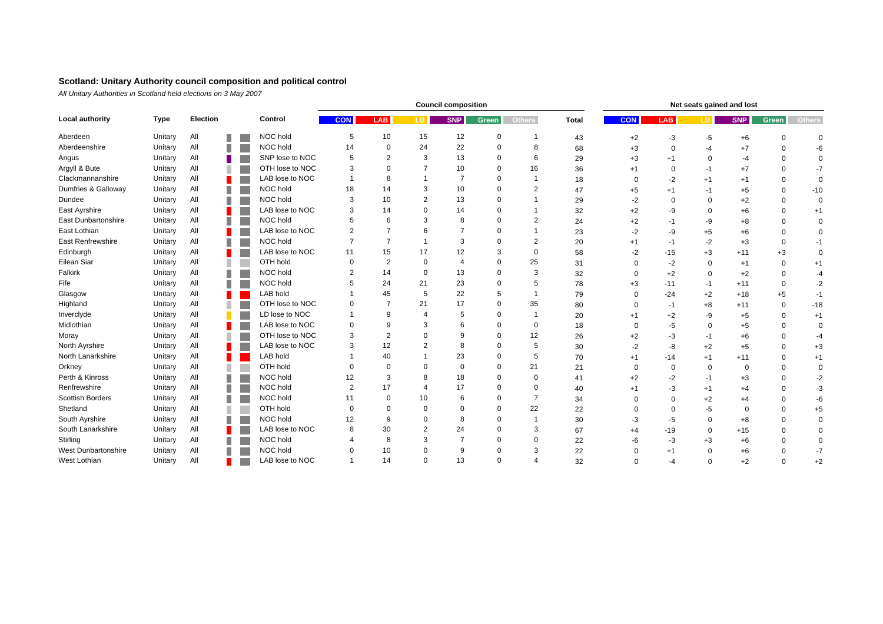#### **Scotland: Unitary Authority council composition and political control**

*All Unitary Authorities in Scotland held elections on 3 May 2007*

|                            |             |          |    |                 | <b>Council composition</b> |                |                |            |             |                |              |            | Net seats gained and lost |             |            |             |             |  |  |  |  |
|----------------------------|-------------|----------|----|-----------------|----------------------------|----------------|----------------|------------|-------------|----------------|--------------|------------|---------------------------|-------------|------------|-------------|-------------|--|--|--|--|
| <b>Local authority</b>     | <b>Type</b> | Election |    | Control         | <b>CON</b>                 | <b>LAB</b>     | LD.            | <b>SNP</b> | Green       | <b>Others</b>  | <b>Total</b> | <b>CON</b> | <b>LAB</b>                | LD.         | <b>SNP</b> | Green       | Others      |  |  |  |  |
| Aberdeen                   | Unitary     | All      | ш  | NOC hold        | 5                          | 10             | 15             | 12         | $\Omega$    |                | 43           | $+2$       | $-3$                      | -5          | $+6$       | $\Omega$    | $\Omega$    |  |  |  |  |
| Aberdeenshire              | Unitary     | All      | ш  | NOC hold        | 14                         | $\mathbf 0$    | 24             | 22         | $\mathbf 0$ | 8              | 68           | $+3$       | $\mathbf 0$               | $-4$        | $+7$       | $\Omega$    | -6          |  |  |  |  |
| Angus                      | Unitary     | All      |    | SNP lose to NOC | 5                          | $\overline{2}$ | 3              | 13         | $\Omega$    | 6              | 29           | $+3$       | $+1$                      | $\mathbf 0$ | -4         | $\Omega$    | $\Omega$    |  |  |  |  |
| Argyll & Bute              | Unitary     | All      | H. | OTH lose to NOC | 3                          | $\mathbf 0$    |                | 10         | $\Omega$    | 16             | 36           | $+1$       | $\Omega$                  | -1          | $+7$       | $\Omega$    | $-7$        |  |  |  |  |
| Clackmannanshire           | Unitary     | All      |    | LAB lose to NOC |                            | 8              |                | 7          | $\Omega$    |                | 18           | $\Omega$   | $-2$                      | $+1$        | $+1$       | 0           | $\mathbf 0$ |  |  |  |  |
| Dumfries & Galloway        | Unitary     | All      | п  | NOC hold        | 18                         | 14             | 3              | 10         | $\Omega$    | 2              | 47           | $+5$       | $+1$                      | -1          | $+5$       | $\Omega$    | $-10$       |  |  |  |  |
| Dundee                     | Unitary     | All      |    | NOC hold        | 3                          | 10             | $\overline{2}$ | 13         | $\Omega$    |                | 29           | $-2$       | $\Omega$                  | $\Omega$    | $+2$       | $\Omega$    | $\Omega$    |  |  |  |  |
| East Ayrshire              | Unitary     | All      |    | LAB lose to NOC | 3                          | 14             | $\Omega$       | 14         | $\Omega$    |                | 32           | $+2$       | -9                        | $\mathbf 0$ | $+6$       | $\Omega$    | $+1$        |  |  |  |  |
| <b>East Dunbartonshire</b> | Unitary     | All      | H. | NOC hold        | 5                          | 6              | 3              | 8          | $\Omega$    |                | 24           | $+2$       | $-1$                      | -9          | $+8$       | $\Omega$    | $\mathbf 0$ |  |  |  |  |
| East Lothian               | Unitary     | All      |    | LAB lose to NOC | $\overline{2}$             | $\overline{7}$ | 6              |            | $\Omega$    |                | 23           | $-2$       | -9                        | $+5$        | $+6$       | $\Omega$    | $\mathbf 0$ |  |  |  |  |
| <b>East Renfrewshire</b>   | Unitary     | All      | п  | NOC hold        | 7                          | $\overline{7}$ |                | 3          | $\Omega$    | $\overline{2}$ | 20           | $+1$       | $-1$                      | $-2$        | $+3$       | $\Omega$    | $-1$        |  |  |  |  |
| Edinburgh                  | Unitary     | All      |    | LAB lose to NOC | 11                         | 15             | 17             | 12         | 3           | $\Omega$       | 58           | -2         | $-15$                     | $+3$        | $+11$      | $+3$        | $\Omega$    |  |  |  |  |
| Eilean Siar                | Unitary     | All      | П  | OTH hold        | $\Omega$                   | $\overline{2}$ | $\Omega$       |            | $\Omega$    | 25             | 31           |            | $-2$                      | $\Omega$    | $+1$       | $\Omega$    | $+1$        |  |  |  |  |
| Falkirk                    | Unitary     | All      | П  | NOC hold        | $\overline{2}$             | 14             | $\Omega$       | 13         | $\Omega$    | 3              | 32           |            | $+2$                      | $\Omega$    | $+2$       | $\Omega$    | $-4$        |  |  |  |  |
| Fife                       | Unitary     | All      |    | NOC hold        |                            | 24             | 21             | 23         | $\Omega$    | 5              | 78           | $+3$       | $-11$                     | -1          | $+11$      | $\mathbf 0$ | $-2$        |  |  |  |  |
| Glasgow                    | Unitary     | All      |    | LAB hold        |                            | 45             | 5              | 22         | 5           | $\overline{1}$ | 79           | $\Omega$   | $-24$                     | $+2$        | $+18$      | $+5$        | $-1$        |  |  |  |  |
| Highland                   | Unitary     | All      |    | OTH lose to NOC | $\Omega$                   | $\overline{7}$ | 21             | 17         | $\Omega$    | 35             | 80           | $\Omega$   | $-1$                      | $+8$        | $+11$      | $\mathbf 0$ | $-18$       |  |  |  |  |
| Inverclyde                 | Unitary     | All      |    | LD lose to NOC  |                            | 9              | 4              | 5          | $\Omega$    | -1             | 20           | $+1$       | $+2$                      | -9          | $+5$       | $\Omega$    | $+1$        |  |  |  |  |
| Midlothian                 | Unitary     | All      |    | LAB lose to NOC | $\mathbf 0$                | 9              | 3              | 6          | $\Omega$    | $\Omega$       | 18           | $\Omega$   | -5                        | $\Omega$    | $+5$       | $\Omega$    | $\Omega$    |  |  |  |  |
| Moray                      | Unitary     | All      | П  | OTH lose to NOC | 3                          | $\overline{2}$ | $\Omega$       | 9          | $\Omega$    | 12             | 26           | $+2$       | -3                        | -1          | $+6$       | $\Omega$    | $-4$        |  |  |  |  |
| North Ayrshire             | Unitary     | All      |    | LAB lose to NOC | 3                          | 12             | $\overline{2}$ | 8          | $\Omega$    | 5              | 30           | $-2$       | -8                        | $+2$        | $+5$       | $\Omega$    | $+3$        |  |  |  |  |
| North Lanarkshire          | Unitary     | All      |    | LAB hold        |                            | 40             |                | 23         | $\Omega$    | 5              | 70           | $+1$       | $-14$                     | $+1$        | $+11$      | $\Omega$    | $+1$        |  |  |  |  |
| Orkney                     | Unitary     | All      |    | OTH hold        | $\Omega$                   | $\mathbf 0$    | $\Omega$       | $\Omega$   | $\Omega$    | 21             | 21           | $\Omega$   | $\mathbf 0$               | $\Omega$    | $\Omega$   | $\Omega$    | $\mathbf 0$ |  |  |  |  |
| Perth & Kinross            | Unitary     | All      | ш  | NOC hold        | 12                         | 3              | 8              | 18         | $\Omega$    | $\Omega$       | 41           | $+2$       | -2                        | $-1$        | $+3$       | $\Omega$    | $-2$        |  |  |  |  |
| Renfrewshire               | Unitary     | All      | ш  | NOC hold        | $\overline{2}$             | 17             | $\Delta$       | 17         | $\Omega$    | $\Omega$       | 40           | $+1$       | -3                        | $+1$        | $+4$       | $\Omega$    | $-3$        |  |  |  |  |
| Scottish Borders           | Unitary     | All      | H. | NOC hold        | 11                         | $\mathbf 0$    | 10             | 6          | $\Omega$    | $\overline{7}$ | 34           | $\Omega$   | $\mathbf 0$               | $+2$        | +4         |             | -6          |  |  |  |  |
| Shetland                   | Unitary     | All      | П  | OTH hold        | $\Omega$                   | $\mathbf 0$    | $\Omega$       | $\Omega$   | $\Omega$    | 22             | 22           |            | $\Omega$                  | -5          |            | $\Omega$    | $+5$        |  |  |  |  |
| South Ayrshire             | Unitary     | All      | П  | NOC hold        | 12                         | 9              |                | 8          | $\Omega$    |                | 30           | -3         | -5                        | $\Omega$    | $+8$       | $\Omega$    | $\Omega$    |  |  |  |  |
| South Lanarkshire          | Unitary     | All      |    | LAB lose to NOC | 8                          | 30             | $\overline{2}$ | 24         | $\Omega$    | 3              | 67           | $+4$       | $-19$                     | 0           | $+15$      | $\Omega$    | $\Omega$    |  |  |  |  |
| Stirling                   | Unitary     | All      |    | NOC hold        |                            | 8              | 3              |            | $\Omega$    | $\Omega$       | 22           | -6         | $-3$                      | $+3$        | $+6$       |             | $\Omega$    |  |  |  |  |
| West Dunbartonshire        | Unitary     | All      |    | NOC hold        |                            | 10             | $\Omega$       | 9          | $\Omega$    | 3              | 22           | $\Omega$   | $+1$                      | $\Omega$    | $+6$       |             | $-7$        |  |  |  |  |
| West Lothian               | Unitary     | All      |    | LAB lose to NOC |                            | 14             | $\Omega$       | 13         | $\Omega$    | $\Delta$       | 32           | $\Omega$   | -4                        | $\Omega$    | $+2$       | $\Omega$    | $+2$        |  |  |  |  |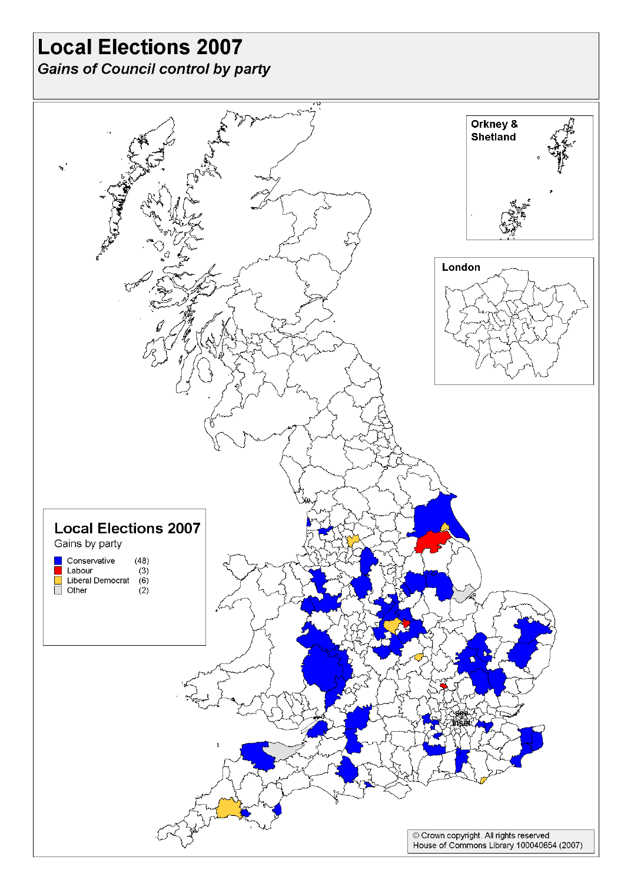## **Local Elections 2007**

**Gains of Council control by party**